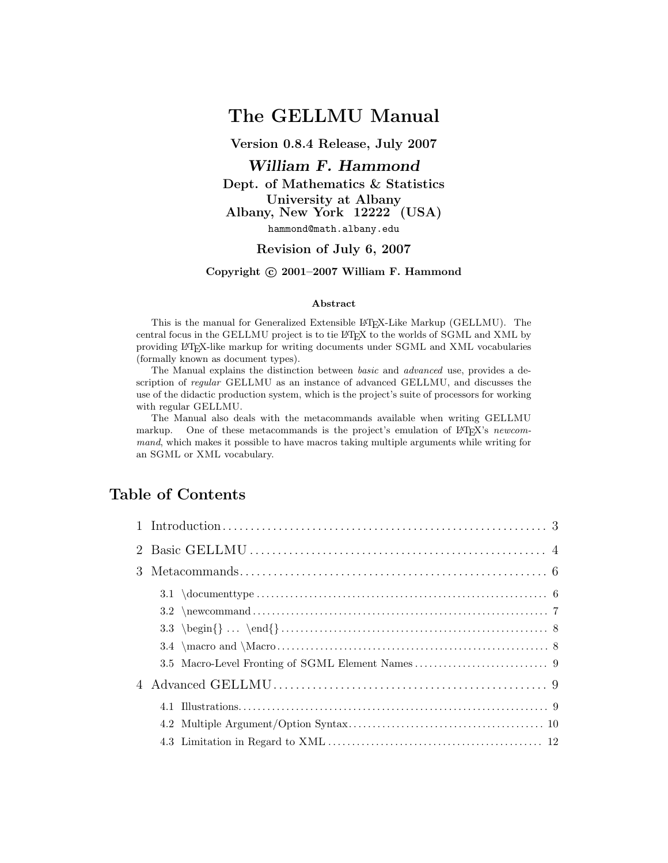# The GELLMU Manual

Version 0.8.4 Release, July 2007

# William F. Hammond

Dept. of Mathematics & Statistics University at Albany Albany, New York 12222 (USA) hammond@math.albany.edu

### Revision of July 6, 2007

## Copyright © 2001-2007 William F. Hammond

#### Abstract

This is the manual for Generalized Extensible L<sup>AT</sup>EX-Like Markup (GELLMU). The central focus in the GELLMU project is to tie LATEX to the worlds of SGML and XML by providing LATEX-like markup for writing documents under SGML and XML vocabularies (formally known as document types).

The Manual explains the distinction between basic and advanced use, provides a description of *regular* GELLMU as an instance of advanced GELLMU, and discusses the use of the didactic production system, which is the project's suite of processors for working with regular GELLMU.

The Manual also deals with the metacommands available when writing GELLMU markup. One of these metacommands is the project's emulation of LATEX's newcommand, which makes it possible to have macros taking multiple arguments while writing for an SGML or XML vocabulary.

# Table of Contents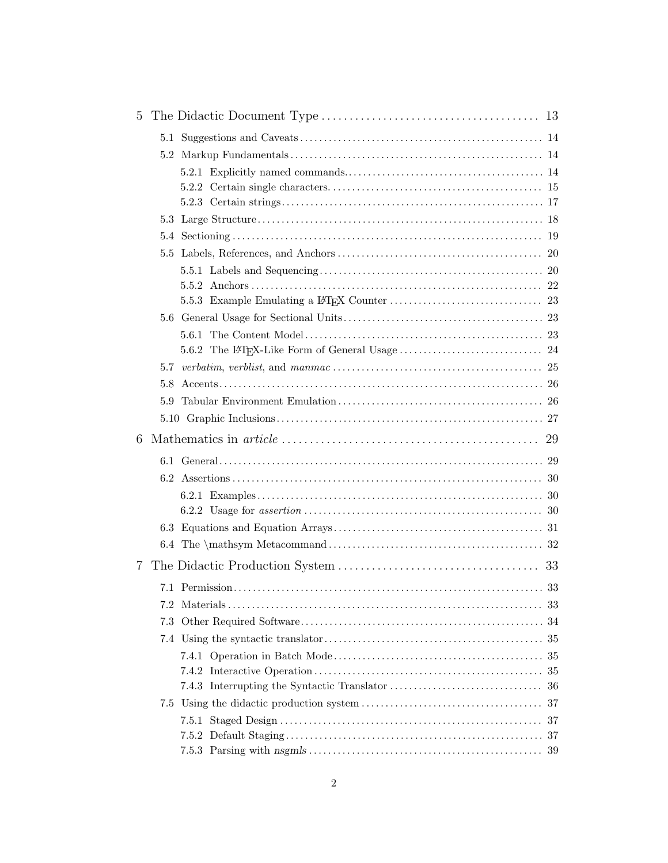| 5 |     |  |
|---|-----|--|
|   |     |  |
|   |     |  |
|   |     |  |
|   |     |  |
|   |     |  |
|   |     |  |
|   |     |  |
|   |     |  |
|   |     |  |
|   |     |  |
|   |     |  |
|   |     |  |
|   |     |  |
|   |     |  |
|   | 5.7 |  |
|   | 5.8 |  |
|   | 5.9 |  |
|   |     |  |
| 6 |     |  |
|   |     |  |
|   |     |  |
|   |     |  |
|   |     |  |
|   |     |  |
|   |     |  |
| 7 |     |  |
|   |     |  |
|   |     |  |
|   | 7.3 |  |
|   |     |  |
|   |     |  |
|   |     |  |
|   |     |  |
|   |     |  |
|   |     |  |
|   |     |  |
|   |     |  |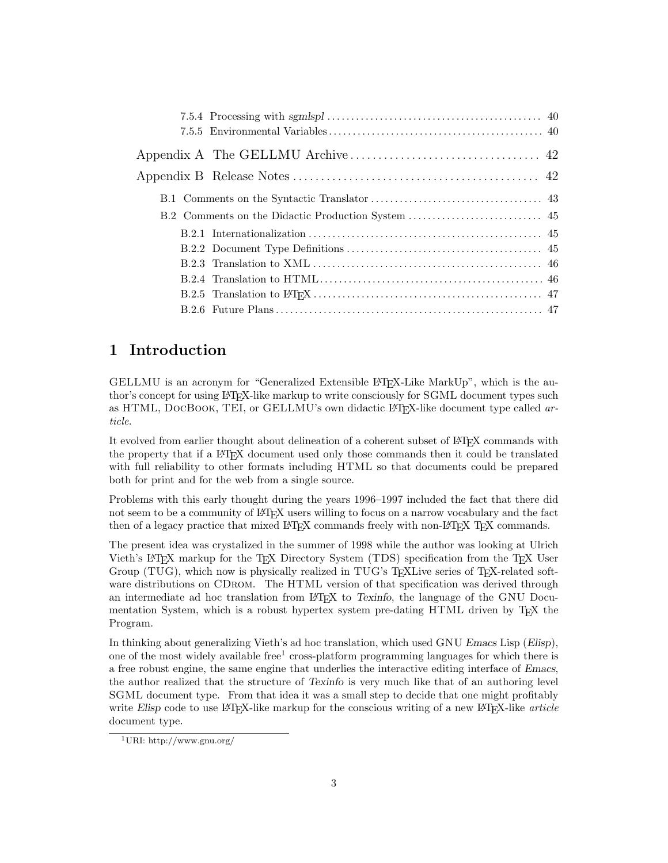# 1 Introduction

GELLMU is an acronym for "Generalized Extensible LAT<sub>EX</sub>-Like MarkUp", which is the author's concept for using LATEX-like markup to write consciously for SGML document types such as HTML, DOCBOOK, TEI, or GELLMU's own didactic L<sup>AT</sup>EX-like document type called article.

It evolved from earlier thought about delineation of a coherent subset of L<sup>AT</sup>EX commands with the property that if a LATEX document used only those commands then it could be translated with full reliability to other formats including HTML so that documents could be prepared both for print and for the web from a single source.

Problems with this early thought during the years 1996–1997 included the fact that there did not seem to be a community of LAT<sub>EX</sub> users willing to focus on a narrow vocabulary and the fact then of a legacy practice that mixed LAT<sub>EX</sub> commands freely with non-LAT<sub>EX</sub> T<sub>EX</sub> commands.

The present idea was crystalized in the summer of 1998 while the author was looking at Ulrich Vieth's L<sup>AT</sup>EX markup for the TEX Directory System (TDS) specification from the TEX User Group (TUG), which now is physically realized in TUG's T<sub>EX</sub>Live series of T<sub>EX</sub>-related software distributions on CDROM. The HTML version of that specification was derived through an intermediate ad hoc translation from LATEX to Texinfo, the language of the GNU Documentation System, which is a robust hypertex system pre-dating HTML driven by T<sub>E</sub>X the Program.

In thinking about generalizing Vieth's ad hoc translation, which used GNU Emacs Lisp (Elisp), one of the most widely available free<sup>1</sup> cross-platform programming languages for which there is a free robust engine, the same engine that underlies the interactive editing interface of Emacs, the author realized that the structure of Texinfo is very much like that of an authoring level SGML document type. From that idea it was a small step to decide that one might profitably write Elisp code to use LAT<sub>E</sub>X-like markup for the conscious writing of a new LAT<sub>E</sub>X-like *article* document type.

<sup>1</sup>URI: http://www.gnu.org/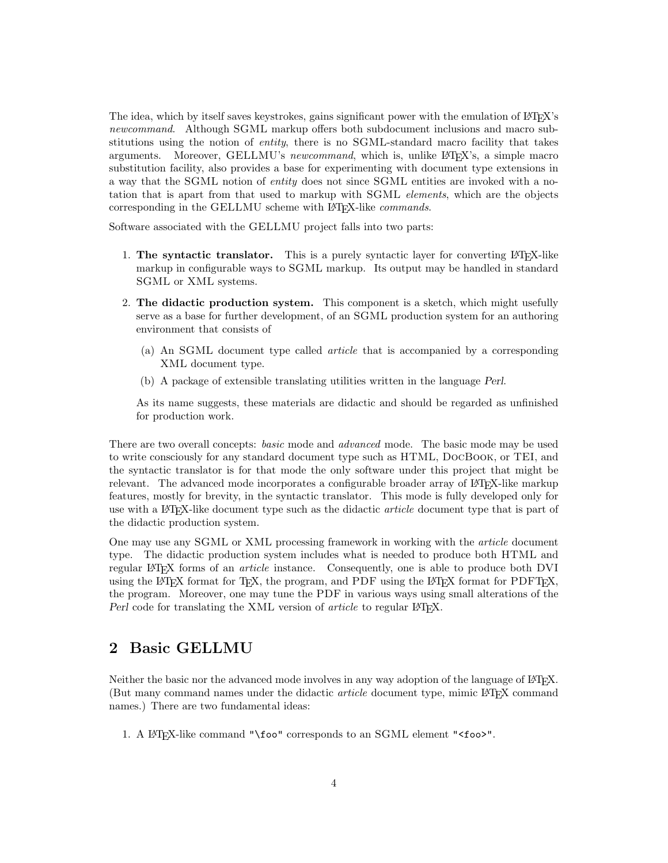The idea, which by itself saves keystrokes, gains significant power with the emulation of LAT<sub>E</sub>X's newcommand. Although SGML markup offers both subdocument inclusions and macro substitutions using the notion of *entity*, there is no SGML-standard macro facility that takes arguments. Moreover, GELLMU's newcommand, which is, unlike L<sup>A</sup>T<sub>E</sub>X's, a simple macro substitution facility, also provides a base for experimenting with document type extensions in a way that the SGML notion of entity does not since SGML entities are invoked with a notation that is apart from that used to markup with SGML elements, which are the objects corresponding in the GELLMU scheme with LAT<sub>E</sub>X-like *commands*.

Software associated with the GELLMU project falls into two parts:

- 1. The syntactic translator. This is a purely syntactic layer for converting  $\text{LFT}_K$ -like markup in configurable ways to SGML markup. Its output may be handled in standard SGML or XML systems.
- 2. The didactic production system. This component is a sketch, which might usefully serve as a base for further development, of an SGML production system for an authoring environment that consists of
	- (a) An SGML document type called article that is accompanied by a corresponding XML document type.
	- (b) A package of extensible translating utilities written in the language Perl.

As its name suggests, these materials are didactic and should be regarded as unfinished for production work.

There are two overall concepts: basic mode and advanced mode. The basic mode may be used to write consciously for any standard document type such as HTML, DocBook, or TEI, and the syntactic translator is for that mode the only software under this project that might be relevant. The advanced mode incorporates a configurable broader array of LAT<sub>EX</sub>-like markup features, mostly for brevity, in the syntactic translator. This mode is fully developed only for use with a LAT<sub>EX</sub>-like document type such as the didactic *article* document type that is part of the didactic production system.

One may use any SGML or XML processing framework in working with the article document type. The didactic production system includes what is needed to produce both HTML and regular L<sup>AT</sup>EX forms of an *article* instance. Consequently, one is able to produce both DVI using the LATEX format for TEX, the program, and PDF using the LATEX format for PDFTEX, the program. Moreover, one may tune the PDF in various ways using small alterations of the Perl code for translating the XML version of *article* to regular IAT<sub>E</sub>X.

# 2 Basic GELLMU

Neither the basic nor the advanced mode involves in any way adoption of the language of LATEX. (But many command names under the didactic article document type, mimic LATEX command names.) There are two fundamental ideas:

1. A LATEX-like command "\foo" corresponds to an SGML element "<foo>".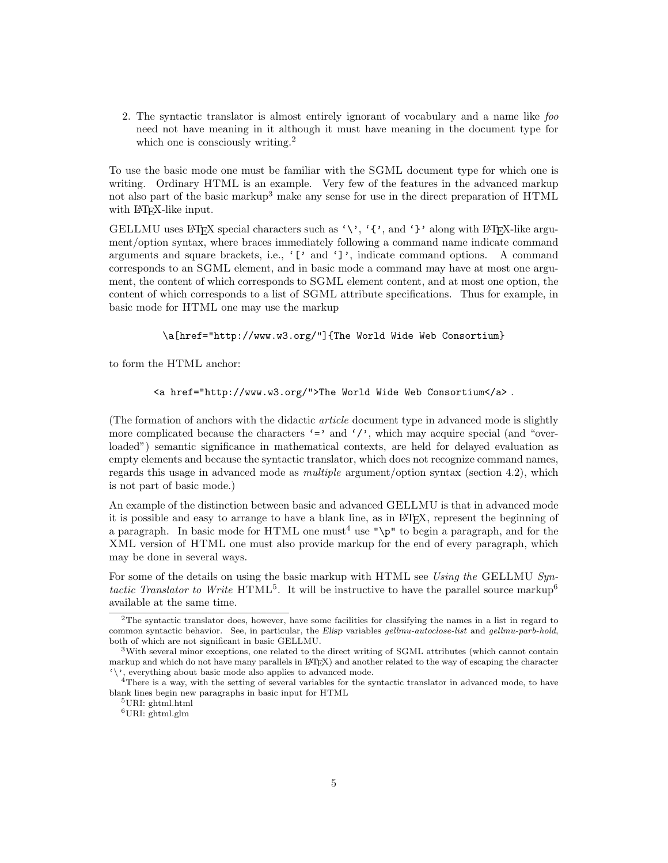2. The syntactic translator is almost entirely ignorant of vocabulary and a name like foo need not have meaning in it although it must have meaning in the document type for which one is consciously writing.<sup>2</sup>

To use the basic mode one must be familiar with the SGML document type for which one is writing. Ordinary HTML is an example. Very few of the features in the advanced markup not also part of the basic markup<sup>3</sup> make any sense for use in the direct preparation of HTML with L<sup>AT</sup>FX-like input.

GELLMU uses LATEX special characters such as '\', '{', and '}' along with LATEX-like argument/option syntax, where braces immediately following a command name indicate command arguments and square brackets, i.e., '[' and ']', indicate command options. A command corresponds to an SGML element, and in basic mode a command may have at most one argument, the content of which corresponds to SGML element content, and at most one option, the content of which corresponds to a list of SGML attribute specifications. Thus for example, in basic mode for HTML one may use the markup

\a[href="http://www.w3.org/"]{The World Wide Web Consortium}

to form the HTML anchor:

```
<a href="http://www.w3.org/">The World Wide Web Consortium</a> .
```
(The formation of anchors with the didactic article document type in advanced mode is slightly more complicated because the characters  $\epsilon$  and  $\epsilon$  ', which may acquire special (and "overloaded") semantic significance in mathematical contexts, are held for delayed evaluation as empty elements and because the syntactic translator, which does not recognize command names, regards this usage in advanced mode as multiple argument/option syntax (section 4.2), which is not part of basic mode.)

An example of the distinction between basic and advanced GELLMU is that in advanced mode it is possible and easy to arrange to have a blank line, as in LATEX, represent the beginning of a paragraph. In basic mode for HTML one must<sup>4</sup> use " $\pi$ " to begin a paragraph, and for the XML version of HTML one must also provide markup for the end of every paragraph, which may be done in several ways.

For some of the details on using the basic markup with HTML see Using the GELLMU Syntactic Translator to Write  $HTML^5$ . It will be instructive to have the parallel source markup<sup>6</sup> available at the same time.

<sup>&</sup>lt;sup>2</sup>The syntactic translator does, however, have some facilities for classifying the names in a list in regard to common syntactic behavior. See, in particular, the Elisp variables gellmu-autoclose-list and gellmu-parb-hold, both of which are not significant in basic GELLMU.

<sup>3</sup>With several minor exceptions, one related to the direct writing of SGML attributes (which cannot contain markup and which do not have many parallels in LATEX) and another related to the way of escaping the character '\', everything about basic mode also applies to advanced mode.

<sup>&</sup>lt;sup>4</sup>There is a way, with the setting of several variables for the syntactic translator in advanced mode, to have blank lines begin new paragraphs in basic input for HTML

 $5$ URI: ghtml.html

<sup>6</sup>URI: ghtml.glm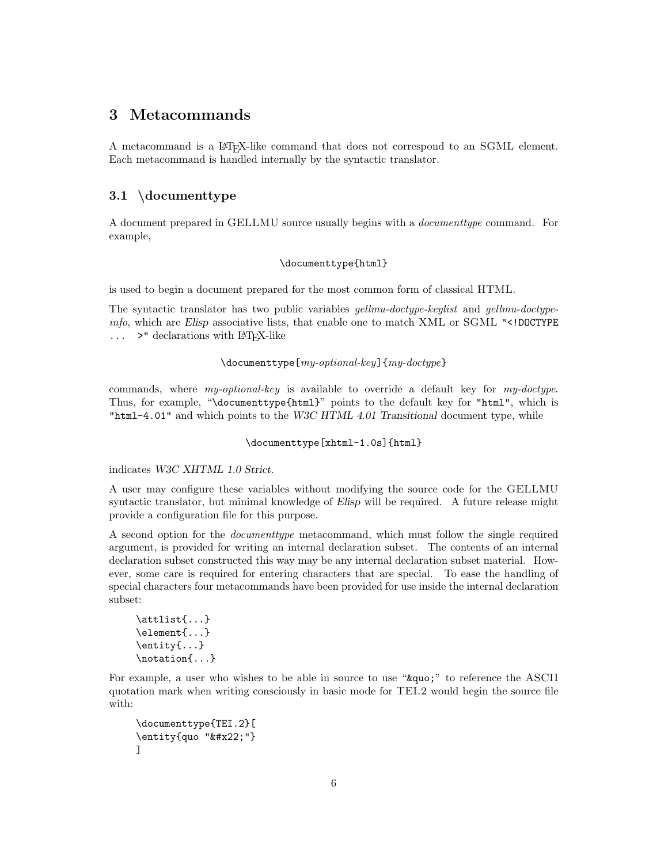# 3 Metacommands

A metacommand is a LATEX-like command that does not correspond to an SGML element. Each metacommand is handled internally by the syntactic translator.

# 3.1 \documenttype

A document prepared in GELLMU source usually begins with a documenttype command. For example,

## \documenttype{html}

is used to begin a document prepared for the most common form of classical HTML.

The syntactic translator has two public variables gellmu-doctype-keylist and gellmu-doctypeinfo, which are Elisp associative lists, that enable one to match XML or SGML "<!DOCTYPE  $\ldots$  >" declarations with LAT<sub>EX</sub>-like

### $\dot{\Omega}_{\text{key}}$ [my-optional-key]{my-doctype}

commands, where my-optional-key is available to override a default key for my-doctype. Thus, for example, "\documenttype{html}" points to the default key for "html", which is "html-4.01" and which points to the W3C HTML 4.01 Transitional document type, while

### \documenttype[xhtml-1.0s]{html}

indicates W3C XHTML 1.0 Strict.

A user may configure these variables without modifying the source code for the GELLMU syntactic translator, but minimal knowledge of Elisp will be required. A future release might provide a configuration file for this purpose.

A second option for the documenttype metacommand, which must follow the single required argument, is provided for writing an internal declaration subset. The contents of an internal declaration subset constructed this way may be any internal declaration subset material. However, some care is required for entering characters that are special. To ease the handling of special characters four metacommands have been provided for use inside the internal declaration subset:

```
\attlist{...}
\element{...}
\entity{...}
\notation{...}
```
For example, a user who wishes to be able in source to use "&quo;" to reference the ASCII quotation mark when writing consciously in basic mode for TEI.2 would begin the source file with:

```
\documenttype{TEI.2}[
\langleentity{quo """}
]
```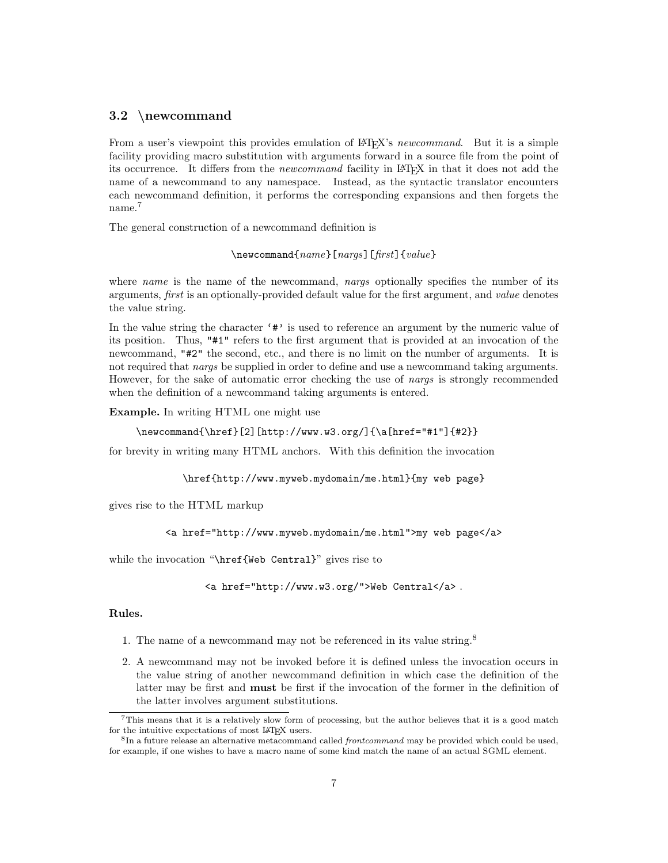## 3.2 \newcommand

From a user's viewpoint this provides emulation of LAT<sub>EX</sub>'s newcommand. But it is a simple facility providing macro substitution with arguments forward in a source file from the point of its occurrence. It differs from the newcommand facility in LATEX in that it does not add the name of a newcommand to any namespace. Instead, as the syntactic translator encounters each newcommand definition, it performs the corresponding expansions and then forgets the name.<sup>7</sup>

The general construction of a newcommand definition is

\newcommand{name}[nargs][first]{value}

where name is the name of the newcommand, nargs optionally specifies the number of its arguments, first is an optionally-provided default value for the first argument, and value denotes the value string.

In the value string the character '#' is used to reference an argument by the numeric value of its position. Thus, "#1" refers to the first argument that is provided at an invocation of the newcommand, "#2" the second, etc., and there is no limit on the number of arguments. It is not required that *nargs* be supplied in order to define and use a newcommand taking arguments. However, for the sake of automatic error checking the use of nargs is strongly recommended when the definition of a newcommand taking arguments is entered.

Example. In writing HTML one might use

```
\newcommand{\href}[2][http://www.w3.org/]{\a[href="#1"]{#2}}
```
for brevity in writing many HTML anchors. With this definition the invocation

\href{http://www.myweb.mydomain/me.html}{my web page}

gives rise to the HTML markup

<a href="http://www.myweb.mydomain/me.html">my web page</a>

while the invocation "\href{Web Central}" gives rise to

```
<a href="http://www.w3.org/">Web Central</a> .
```
### Rules.

- 1. The name of a newcommand may not be referenced in its value string.<sup>8</sup>
- 2. A newcommand may not be invoked before it is defined unless the invocation occurs in the value string of another newcommand definition in which case the definition of the latter may be first and must be first if the invocation of the former in the definition of the latter involves argument substitutions.

<sup>7</sup>This means that it is a relatively slow form of processing, but the author believes that it is a good match for the intuitive expectations of most IATEX users.

<sup>&</sup>lt;sup>8</sup>In a future release an alternative metacommand called *frontcommand* may be provided which could be used, for example, if one wishes to have a macro name of some kind match the name of an actual SGML element.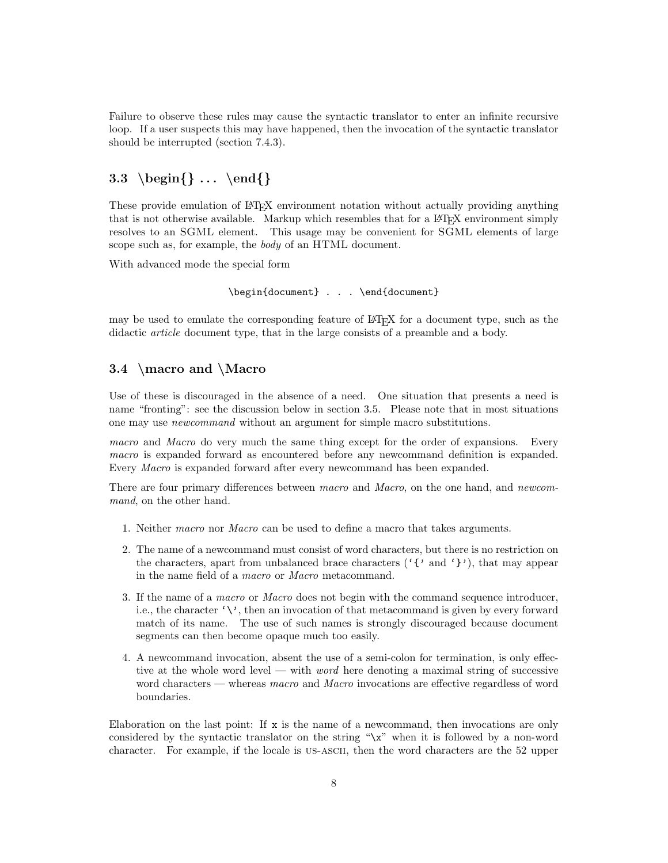Failure to observe these rules may cause the syntactic translator to enter an infinite recursive loop. If a user suspects this may have happened, then the invocation of the syntactic translator should be interrupted (section 7.4.3).

# 3.3 \begin $\{\} \ldots \ \end{}\}$

These provide emulation of LATEX environment notation without actually providing anything that is not otherwise available. Markup which resembles that for a LATEX environment simply resolves to an SGML element. This usage may be convenient for SGML elements of large scope such as, for example, the body of an HTML document.

With advanced mode the special form

\begin{document} . . . \end{document}

may be used to emulate the corresponding feature of LATEX for a document type, such as the didactic article document type, that in the large consists of a preamble and a body.

# 3.4 \macro and \Macro

Use of these is discouraged in the absence of a need. One situation that presents a need is name "fronting": see the discussion below in section 3.5. Please note that in most situations one may use newcommand without an argument for simple macro substitutions.

macro and Macro do very much the same thing except for the order of expansions. Every macro is expanded forward as encountered before any newcommand definition is expanded. Every Macro is expanded forward after every newcommand has been expanded.

There are four primary differences between macro and Macro, on the one hand, and newcommand, on the other hand.

- 1. Neither macro nor Macro can be used to define a macro that takes arguments.
- 2. The name of a newcommand must consist of word characters, but there is no restriction on the characters, apart from unbalanced brace characters ( $'$ {' and '}'), that may appear in the name field of a macro or Macro metacommand.
- 3. If the name of a macro or Macro does not begin with the command sequence introducer, i.e., the character  $\langle \cdot \rangle$ , then an invocation of that metacommand is given by every forward match of its name. The use of such names is strongly discouraged because document segments can then become opaque much too easily.
- 4. A newcommand invocation, absent the use of a semi-colon for termination, is only effective at the whole word level — with *word* here denoting a maximal string of successive word characters — whereas *macro* and *Macro* invocations are effective regardless of word boundaries.

Elaboration on the last point: If  $x$  is the name of a newcommand, then invocations are only considered by the syntactic translator on the string "\x" when it is followed by a non-word character. For example, if the locale is us-ascii, then the word characters are the 52 upper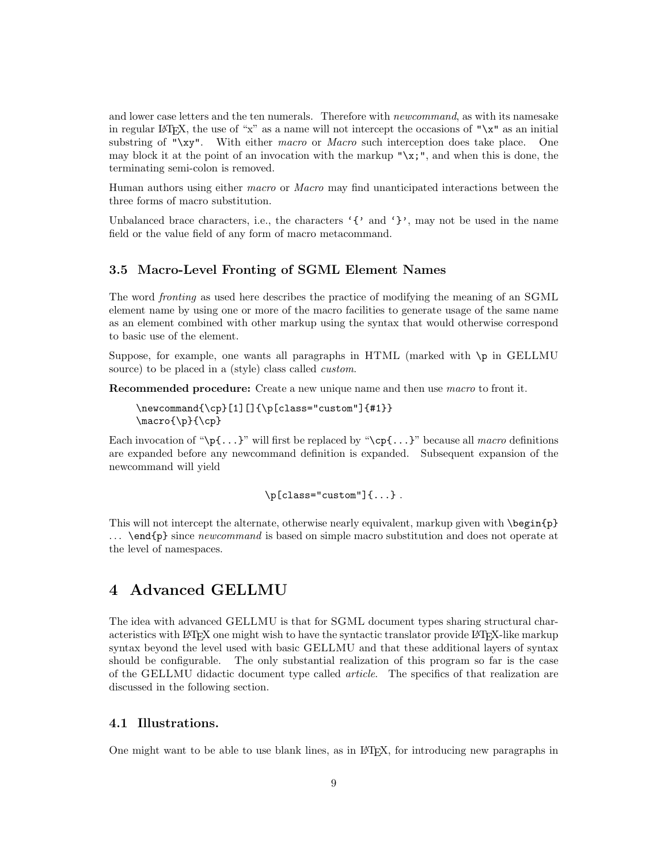and lower case letters and the ten numerals. Therefore with *newcommand*, as with its namesake in regular LATEX, the use of "x" as a name will not intercept the occasions of " $x$ " as an initial substring of " $\chi$ y". With either macro or Macro such interception does take place. One may block it at the point of an invocation with the markup " $\chi$ ;", and when this is done, the terminating semi-colon is removed.

Human authors using either macro or Macro may find unanticipated interactions between the three forms of macro substitution.

Unbalanced brace characters, i.e., the characters  $\{\}$  and  $\}$ , may not be used in the name field or the value field of any form of macro metacommand.

## 3.5 Macro-Level Fronting of SGML Element Names

The word fronting as used here describes the practice of modifying the meaning of an SGML element name by using one or more of the macro facilities to generate usage of the same name as an element combined with other markup using the syntax that would otherwise correspond to basic use of the element.

Suppose, for example, one wants all paragraphs in HTML (marked with \p in GELLMU source) to be placed in a (style) class called *custom*.

Recommended procedure: Create a new unique name and then use *macro* to front it.

```
\newcommand{\cp}[1][]{\p[class="custom"]{#1}}
\n\frac{{\p}({\text{cp}})
```
Each invocation of " $\pmb{\cdot}$ " $\mathbf{r}$ " will first be replaced by " $\pmb{\cdot}$ " $\mathbf{r}$ " because all macro definitions are expanded before any newcommand definition is expanded. Subsequent expansion of the newcommand will yield

 $\pi$ [class="custom"] $\{ \ldots \}$ .

This will not intercept the alternate, otherwise nearly equivalent, markup given with **\begin{p}**  $\ldots$  \end{p} since *newcommand* is based on simple macro substitution and does not operate at the level of namespaces.

# 4 Advanced GELLMU

The idea with advanced GELLMU is that for SGML document types sharing structural characteristics with LATEX one might wish to have the syntactic translator provide LATEX-like markup syntax beyond the level used with basic GELLMU and that these additional layers of syntax should be configurable. The only substantial realization of this program so far is the case of the GELLMU didactic document type called article. The specifics of that realization are discussed in the following section.

# 4.1 Illustrations.

One might want to be able to use blank lines, as in LATEX, for introducing new paragraphs in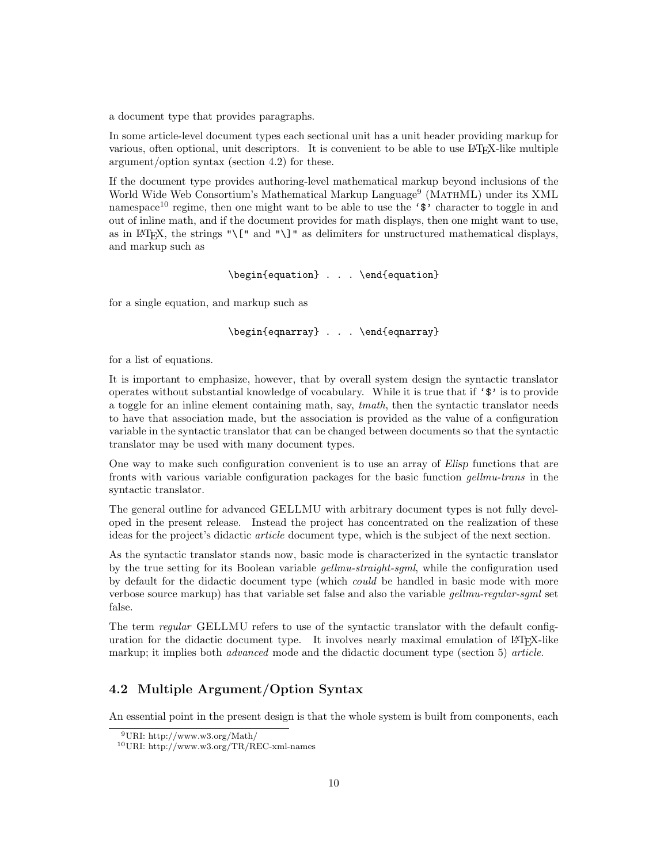a document type that provides paragraphs.

In some article-level document types each sectional unit has a unit header providing markup for various, often optional, unit descriptors. It is convenient to be able to use LATEX-like multiple argument/option syntax (section 4.2) for these.

If the document type provides authoring-level mathematical markup beyond inclusions of the World Wide Web Consortium's Mathematical Markup Language<sup>9</sup> (MATHML) under its XML namespace<sup>10</sup> regime, then one might want to be able to use the ' $\mathcal{F}'$  character to toggle in and out of inline math, and if the document provides for math displays, then one might want to use, as in LAT<sub>EX</sub>, the strings " $\[\Gamma\]$ " and " $\]\]$ " as delimiters for unstructured mathematical displays, and markup such as

```
\begin{equation} . . . \end{equation}
```
for a single equation, and markup such as

```
\begin{eqnarray} . . . \end{eqnarray}
```
for a list of equations.

It is important to emphasize, however, that by overall system design the syntactic translator operates without substantial knowledge of vocabulary. While it is true that if  $\mathcal{F}$  is to provide a toggle for an inline element containing math, say, tmath, then the syntactic translator needs to have that association made, but the association is provided as the value of a configuration variable in the syntactic translator that can be changed between documents so that the syntactic translator may be used with many document types.

One way to make such configuration convenient is to use an array of Elisp functions that are fronts with various variable configuration packages for the basic function gellmu-trans in the syntactic translator.

The general outline for advanced GELLMU with arbitrary document types is not fully developed in the present release. Instead the project has concentrated on the realization of these ideas for the project's didactic article document type, which is the subject of the next section.

As the syntactic translator stands now, basic mode is characterized in the syntactic translator by the true setting for its Boolean variable gellmu-straight-sgml, while the configuration used by default for the didactic document type (which could be handled in basic mode with more verbose source markup) has that variable set false and also the variable *gellmu-regular-sgml* set false.

The term *regular* GELLMU refers to use of the syntactic translator with the default configuration for the didactic document type. It involves nearly maximal emulation of LATEX-like markup; it implies both *advanced* mode and the didactic document type (section 5) article.

# 4.2 Multiple Argument/Option Syntax

An essential point in the present design is that the whole system is built from components, each

<sup>9</sup>URI: http://www.w3.org/Math/

<sup>10</sup>URI: http://www.w3.org/TR/REC-xml-names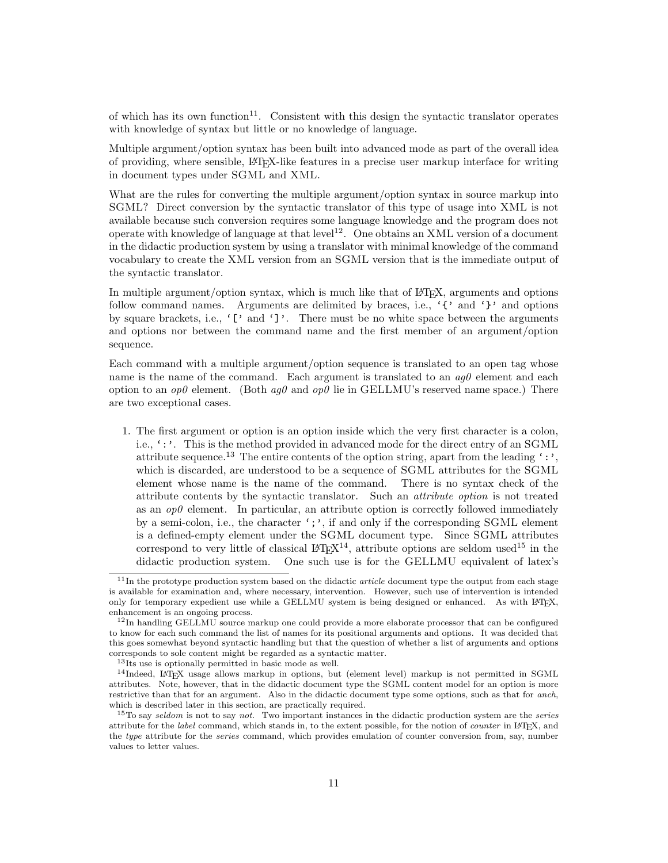of which has its own function<sup>11</sup>. Consistent with this design the syntactic translator operates with knowledge of syntax but little or no knowledge of language.

Multiple argument/option syntax has been built into advanced mode as part of the overall idea of providing, where sensible, LATEX-like features in a precise user markup interface for writing in document types under SGML and XML.

What are the rules for converting the multiple argument/option syntax in source markup into SGML? Direct conversion by the syntactic translator of this type of usage into XML is not available because such conversion requires some language knowledge and the program does not operate with knowledge of language at that level<sup>12</sup>. One obtains an XML version of a document in the didactic production system by using a translator with minimal knowledge of the command vocabulary to create the XML version from an SGML version that is the immediate output of the syntactic translator.

In multiple argument/option syntax, which is much like that of LATEX, arguments and options follow command names. Arguments are delimited by braces, i.e., '{' and '}' and options by square brackets, i.e., '[' and ']'. There must be no white space between the arguments and options nor between the command name and the first member of an argument/option sequence.

Each command with a multiple argument/option sequence is translated to an open tag whose name is the name of the command. Each argument is translated to an  $aq\theta$  element and each option to an  $op0$  element. (Both  $ag0$  and  $op0$  lie in GELLMU's reserved name space.) There are two exceptional cases.

1. The first argument or option is an option inside which the very first character is a colon, i.e.,  $'$ :'. This is the method provided in advanced mode for the direct entry of an SGML attribute sequence.<sup>13</sup> The entire contents of the option string, apart from the leading  $\cdot$ : which is discarded, are understood to be a sequence of SGML attributes for the SGML element whose name is the name of the command. There is no syntax check of the attribute contents by the syntactic translator. Such an attribute option is not treated as an  $op0$  element. In particular, an attribute option is correctly followed immediately by a semi-colon, i.e., the character ';', if and only if the corresponding SGML element is a defined-empty element under the SGML document type. Since SGML attributes correspond to very little of classical  $\mathbb{F} T_F X^{14}$ , attribute options are seldom used<sup>15</sup> in the didactic production system. One such use is for the GELLMU equivalent of latex's

 $11$ In the prototype production system based on the didactic *article* document type the output from each stage is available for examination and, where necessary, intervention. However, such use of intervention is intended only for temporary expedient use while a GELLMU system is being designed or enhanced. As with LATEX, enhancement is an ongoing process.

<sup>&</sup>lt;sup>12</sup>In handling GELLMU source markup one could provide a more elaborate processor that can be configured to know for each such command the list of names for its positional arguments and options. It was decided that this goes somewhat beyond syntactic handling but that the question of whether a list of arguments and options corresponds to sole content might be regarded as a syntactic matter.

<sup>13</sup>Its use is optionally permitted in basic mode as well.

<sup>&</sup>lt;sup>14</sup>Indeed, LATEX usage allows markup in options, but (element level) markup is not permitted in SGML attributes. Note, however, that in the didactic document type the SGML content model for an option is more restrictive than that for an argument. Also in the didactic document type some options, such as that for anch, which is described later in this section, are practically required.

 $15T\sigma$  say seldom is not to say not. Two important instances in the didactic production system are the series attribute for the label command, which stands in, to the extent possible, for the notion of counter in IATEX, and the type attribute for the series command, which provides emulation of counter conversion from, say, number values to letter values.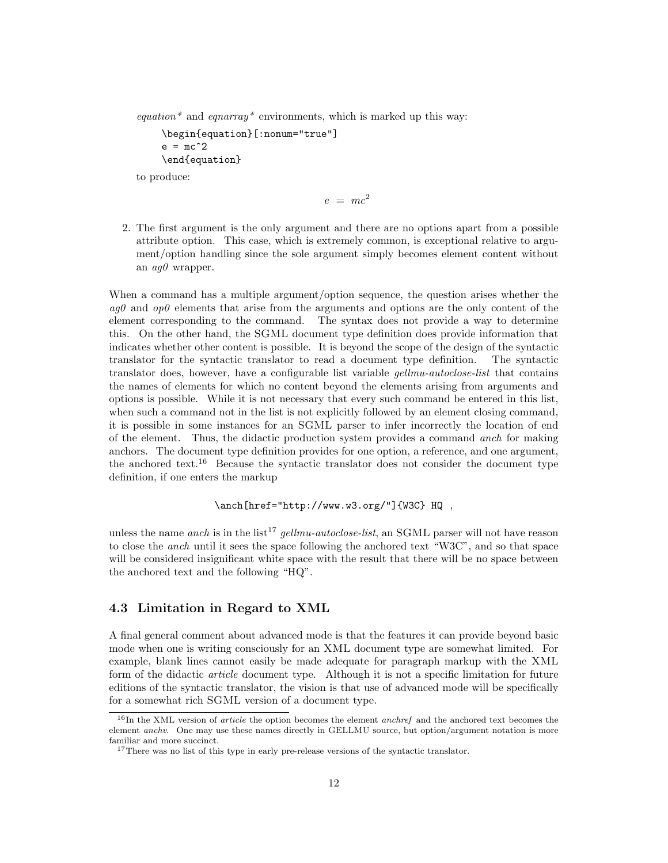equation\* and equation\* environments, which is marked up this way:

```
\begin{equation}[:nonum="true"]
e = mc^2\end{equation}
```
to produce:

$$
e = mc^2
$$

2. The first argument is the only argument and there are no options apart from a possible attribute option. This case, which is extremely common, is exceptional relative to argument/option handling since the sole argument simply becomes element content without an  $aq0$  wrapper.

When a command has a multiple argument/option sequence, the question arises whether the  $aq\theta$  and  $\partial p\theta$  elements that arise from the arguments and options are the only content of the element corresponding to the command. The syntax does not provide a way to determine this. On the other hand, the SGML document type definition does provide information that indicates whether other content is possible. It is beyond the scope of the design of the syntactic translator for the syntactic translator to read a document type definition. The syntactic translator does, however, have a configurable list variable *gellmu-autoclose-list* that contains the names of elements for which no content beyond the elements arising from arguments and options is possible. While it is not necessary that every such command be entered in this list, when such a command not in the list is not explicitly followed by an element closing command, it is possible in some instances for an SGML parser to infer incorrectly the location of end of the element. Thus, the didactic production system provides a command anch for making anchors. The document type definition provides for one option, a reference, and one argument, the anchored text.<sup>16</sup> Because the syntactic translator does not consider the document type definition, if one enters the markup

\anch[href="http://www.w3.org/"]{W3C} HQ ,

unless the name anch is in the list<sup>17</sup> gellmu-autoclose-list, an SGML parser will not have reason to close the anch until it sees the space following the anchored text "W3C", and so that space will be considered insignificant white space with the result that there will be no space between the anchored text and the following "HQ".

# 4.3 Limitation in Regard to XML

A final general comment about advanced mode is that the features it can provide beyond basic mode when one is writing consciously for an XML document type are somewhat limited. For example, blank lines cannot easily be made adequate for paragraph markup with the XML form of the didactic article document type. Although it is not a specific limitation for future editions of the syntactic translator, the vision is that use of advanced mode will be specifically for a somewhat rich SGML version of a document type.

 $16$ In the XML version of *article* the option becomes the element *anchref* and the anchored text becomes the element anchv. One may use these names directly in GELLMU source, but option/argument notation is more familiar and more succinct.

<sup>&</sup>lt;sup>17</sup>There was no list of this type in early pre-release versions of the syntactic translator.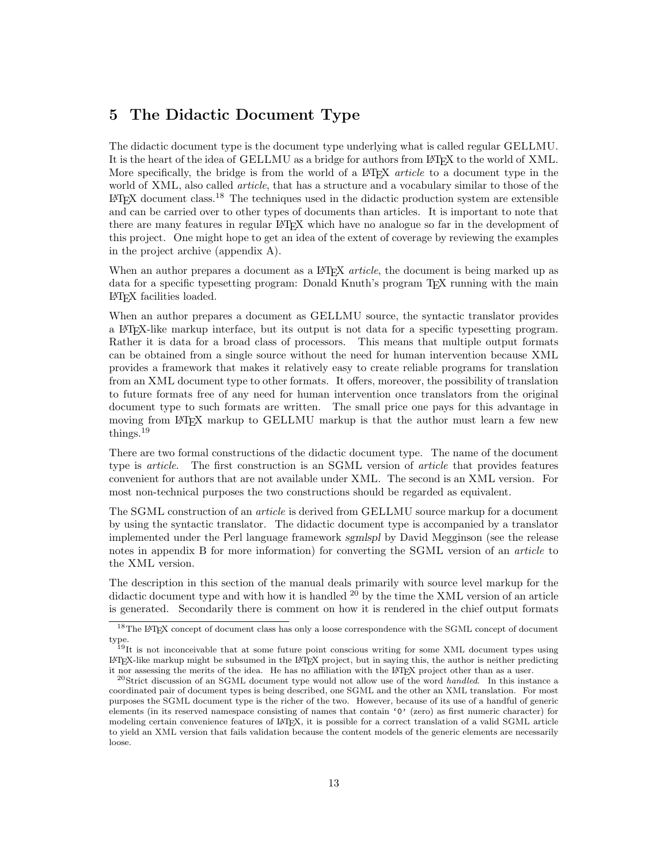# 5 The Didactic Document Type

The didactic document type is the document type underlying what is called regular GELLMU. It is the heart of the idea of GELLMU as a bridge for authors from LATEX to the world of XML. More specifically, the bridge is from the world of a  $\mathbb{A}$ F<sub>F</sub>X *article* to a document type in the world of XML, also called *article*, that has a structure and a vocabulary similar to those of the  $L^2T$ <sub>EX</sub> document class.<sup>18</sup> The techniques used in the didactic production system are extensible and can be carried over to other types of documents than articles. It is important to note that there are many features in regular LATEX which have no analogue so far in the development of this project. One might hope to get an idea of the extent of coverage by reviewing the examples in the project archive (appendix A).

When an author prepares a document as a  $\text{LFT}X$  *article*, the document is being marked up as data for a specific typesetting program: Donald Knuth's program T<sub>E</sub>X running with the main LATEX facilities loaded.

When an author prepares a document as GELLMU source, the syntactic translator provides a LATEX-like markup interface, but its output is not data for a specific typesetting program. Rather it is data for a broad class of processors. This means that multiple output formats can be obtained from a single source without the need for human intervention because XML provides a framework that makes it relatively easy to create reliable programs for translation from an XML document type to other formats. It offers, moreover, the possibility of translation to future formats free of any need for human intervention once translators from the original document type to such formats are written. The small price one pays for this advantage in moving from LATEX markup to GELLMU markup is that the author must learn a few new things. $19$ 

There are two formal constructions of the didactic document type. The name of the document type is *article*. The first construction is an SGML version of *article* that provides features convenient for authors that are not available under XML. The second is an XML version. For most non-technical purposes the two constructions should be regarded as equivalent.

The SGML construction of an *article* is derived from GELLMU source markup for a document by using the syntactic translator. The didactic document type is accompanied by a translator implemented under the Perl language framework sgmlspl by David Megginson (see the release notes in appendix B for more information) for converting the SGML version of an *article* to the XML version.

The description in this section of the manual deals primarily with source level markup for the didactic document type and with how it is handled <sup>20</sup> by the time the XML version of an article is generated. Secondarily there is comment on how it is rendered in the chief output formats

 $^{18}\mathrm{The}$  LAT<sub>E</sub>X concept of document class has only a loose correspondence with the SGML concept of document type. <sup>19</sup>It is not inconceivable that at some future point conscious writing for some XML document types using

LATEX-like markup might be subsumed in the LATEX project, but in saying this, the author is neither predicting it nor assessing the merits of the idea. He has no affiliation with the LATEX project other than as a user.

 $^{20}$ Strict discussion of an SGML document type would not allow use of the word handled. In this instance a coordinated pair of document types is being described, one SGML and the other an XML translation. For most purposes the SGML document type is the richer of the two. However, because of its use of a handful of generic elements (in its reserved namespace consisting of names that contain '0' (zero) as first numeric character) for modeling certain convenience features of LATEX, it is possible for a correct translation of a valid SGML article to yield an XML version that fails validation because the content models of the generic elements are necessarily loose.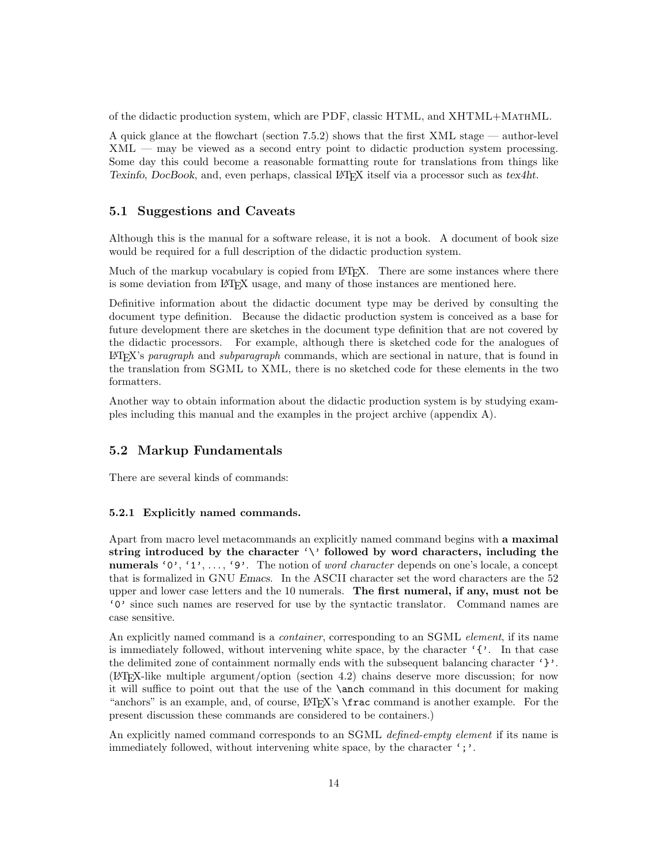of the didactic production system, which are PDF, classic HTML, and XHTML+MathML.

A quick glance at the flowchart (section 7.5.2) shows that the first XML stage — author-level XML — may be viewed as a second entry point to didactic production system processing. Some day this could become a reasonable formatting route for translations from things like Texinfo, DocBook, and, even perhaps, classical LATEX itself via a processor such as tex4ht.

## 5.1 Suggestions and Caveats

Although this is the manual for a software release, it is not a book. A document of book size would be required for a full description of the didactic production system.

Much of the markup vocabulary is copied from LAT<sub>EX</sub>. There are some instances where there is some deviation from LATEX usage, and many of those instances are mentioned here.

Definitive information about the didactic document type may be derived by consulting the document type definition. Because the didactic production system is conceived as a base for future development there are sketches in the document type definition that are not covered by the didactic processors. For example, although there is sketched code for the analogues of  $\Delta E$ <sub>TEX</sub>'s paragraph and subparagraph commands, which are sectional in nature, that is found in the translation from SGML to XML, there is no sketched code for these elements in the two formatters.

Another way to obtain information about the didactic production system is by studying examples including this manual and the examples in the project archive (appendix A).

## 5.2 Markup Fundamentals

There are several kinds of commands:

### 5.2.1 Explicitly named commands.

Apart from macro level metacommands an explicitly named command begins with a maximal string introduced by the character  $\langle \cdot \rangle$  followed by word characters, including the numerals '0', '1', ..., '9'. The notion of *word character* depends on one's locale, a concept that is formalized in GNU Emacs. In the ASCII character set the word characters are the 52 upper and lower case letters and the 10 numerals. The first numeral, if any, must not be '0' since such names are reserved for use by the syntactic translator. Command names are case sensitive.

An explicitly named command is a *container*, corresponding to an SGML *element*, if its name is immediately followed, without intervening white space, by the character  $\mathcal{F}'$ . In that case the delimited zone of containment normally ends with the subsequent balancing character  $'$  }'. (LATEX-like multiple argument/option (section 4.2) chains deserve more discussion; for now it will suffice to point out that the use of the \anch command in this document for making "anchors" is an example, and, of course,  $\langle \text{H} \rangle$ " is  $\langle \text{H} \rangle$ " is another example. For the present discussion these commands are considered to be containers.)

An explicitly named command corresponds to an SGML defined-empty element if its name is immediately followed, without intervening white space, by the character  $\cdot$ ; $\cdot$ .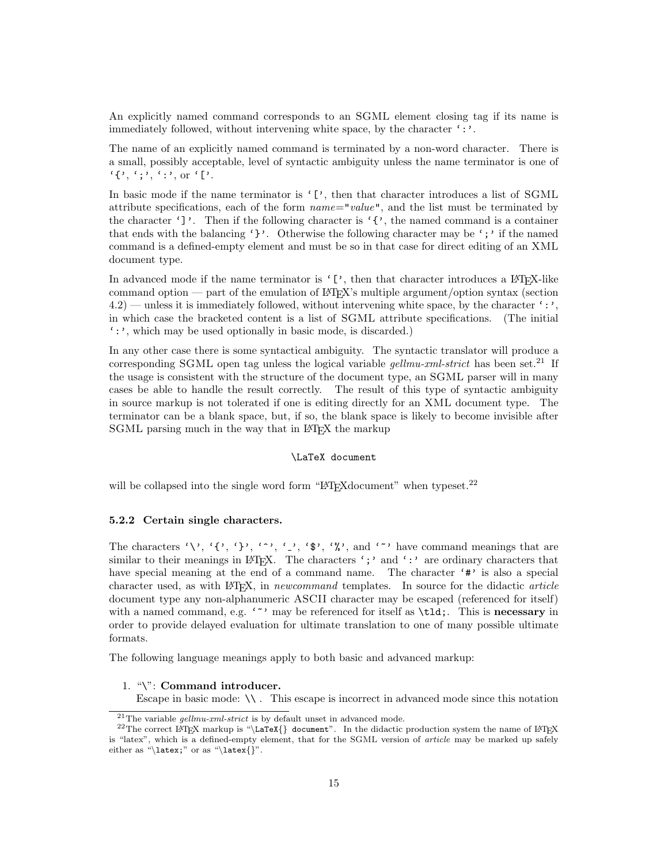An explicitly named command corresponds to an SGML element closing tag if its name is immediately followed, without intervening white space, by the character  $\cdot : \cdot$ .

The name of an explicitly named command is terminated by a non-word character. There is a small, possibly acceptable, level of syntactic ambiguity unless the name terminator is one of  $'{$ , ',',',', or '['.

In basic mode if the name terminator is '[', then that character introduces a list of SGML attribute specifications, each of the form  $name="value$ ", and the list must be terminated by the character ']'. Then if the following character is ' $\{\cdot\}$ , the named command is a container that ends with the balancing '}'. Otherwise the following character may be ';' if the named command is a defined-empty element and must be so in that case for direct editing of an XML document type.

In advanced mode if the name terminator is  $\lceil \cdot \rceil$ , then that character introduces a LATEX-like command option — part of the emulation of LATEX's multiple argument/option syntax (section  $4.2$ ) — unless it is immediately followed, without intervening white space, by the character ':', in which case the bracketed content is a list of SGML attribute specifications. (The initial ':', which may be used optionally in basic mode, is discarded.)

In any other case there is some syntactical ambiguity. The syntactic translator will produce a corresponding SGML open tag unless the logical variable  $gellmu\text{-}cml\text{-}strict$  has been set.<sup>21</sup> If the usage is consistent with the structure of the document type, an SGML parser will in many cases be able to handle the result correctly. The result of this type of syntactic ambiguity in source markup is not tolerated if one is editing directly for an XML document type. The terminator can be a blank space, but, if so, the blank space is likely to become invisible after SGML parsing much in the way that in LATEX the markup

### \LaTeX document

will be collapsed into the single word form "LAT<sub>EX</sub> document" when typeset.<sup>22</sup>

### 5.2.2 Certain single characters.

The characters '\', '{', '}', '^', '\_', '\$', '%', and '^' have command meanings that are similar to their meanings in LATEX. The characters ';' and ':' are ordinary characters that have special meaning at the end of a command name. The character '#' is also a special character used, as with LAT<sub>EX</sub>, in newcommand templates. In source for the didactic article document type any non-alphanumeric ASCII character may be escaped (referenced for itself) with a named command, e.g. '"' may be referenced for itself as \tld;. This is necessary in order to provide delayed evaluation for ultimate translation to one of many possible ultimate formats.

The following language meanings apply to both basic and advanced markup:

### 1. "\": Command introducer.

Escape in basic mode:  $\setminus \setminus$ . This escape is incorrect in advanced mode since this notation

<sup>&</sup>lt;sup>21</sup>The variable *gellmu-xml-strict* is by default unset in advanced mode.

<sup>&</sup>lt;sup>22</sup>The correct LAT<sub>E</sub>X markup is "\LaTeX{} document". In the didactic production system the name of LAT<sub>E</sub>X is "latex", which is a defined-empty element, that for the SGML version of *article* may be marked up safely either as "\latex;" or as "\latex{}".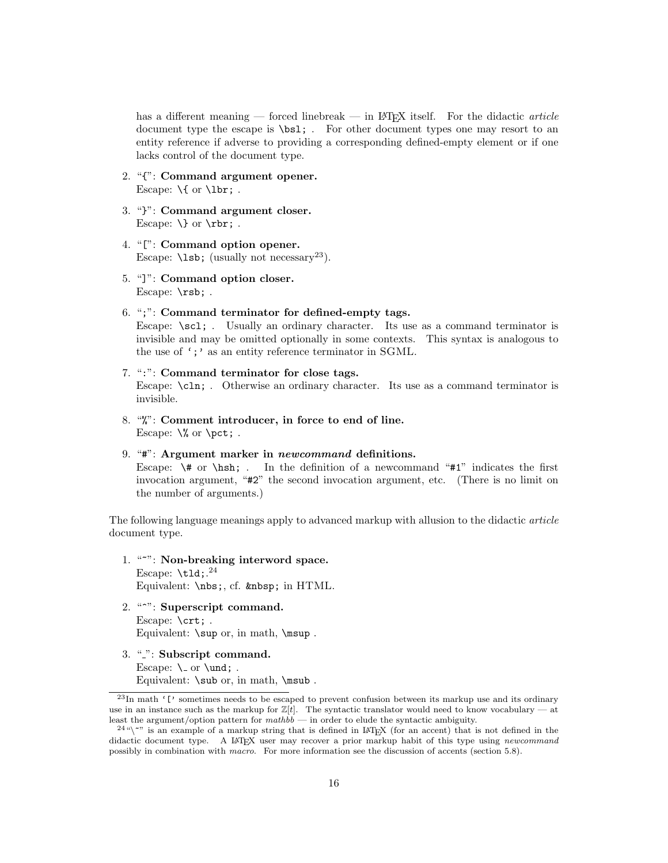has a different meaning — forced linebreak — in LAT<sub>EX</sub> itself. For the didactic *article* document type the escape is \bsl; . For other document types one may resort to an entity reference if adverse to providing a corresponding defined-empty element or if one lacks control of the document type.

- 2. "{": Command argument opener. Escape:  $\{$  or  $\text{lbr};$ .
- 3. "}": Command argument closer. Escape:  $\}$  or  $\frac{\text{r}}{\text{r}}$ .
- 4. "[": Command option opener. Escape:  $\text{lsb}$ ; (usually not necessary<sup>23</sup>).
- 5. "]": Command option closer. Escape: \rsb; .
- 6. ";": Command terminator for defined-empty tags. Escape: \scl; . Usually an ordinary character. Its use as a command terminator is invisible and may be omitted optionally in some contexts. This syntax is analogous to the use of ';' as an entity reference terminator in SGML.
- 7. ":": Command terminator for close tags. Escape:  $\chi$ ln; . Otherwise an ordinary character. Its use as a command terminator is invisible.
- 8. "%": Comment introducer, in force to end of line. Escape:  $\%$  or  $\pet$ ; .
- 9. "#": Argument marker in newcommand definitions.

Escape:  $\forall$  or  $\hbar$ ; . In the definition of a newcommand "#1" indicates the first invocation argument, "#2" the second invocation argument, etc. (There is no limit on the number of arguments.)

The following language meanings apply to advanced markup with allusion to the didactic article document type.

- 1. "~": Non-breaking interword space. Escape:  $\text{tld}; .^{24}$ Equivalent: \nbs;, cf. in HTML.
- 2. "<sup>\*\*</sup>": Superscript command. Escape: \crt; . Equivalent:  $\sup$  or, in math,  $\max$ .
- 3. ".": Subscript command. Escape:  $\cup$  or  $\text{und};$ . Equivalent: \sub or, in math, \msub.

 $^{23}$ In math '[' sometimes needs to be escaped to prevent confusion between its markup use and its ordinary use in an instance such as the markup for  $\mathbb{Z}[t]$ . The syntactic translator would need to know vocabulary — at least the argument/option pattern for  $mathbb -$  in order to elude the syntactic ambiguity.

 $^{24}$ " $\degree$ " is an example of a markup string that is defined in LATEX (for an accent) that is not defined in the didactic document type. A L<sup>AT</sup>EX user may recover a prior markup habit of this type using newcommand possibly in combination with macro. For more information see the discussion of accents (section 5.8).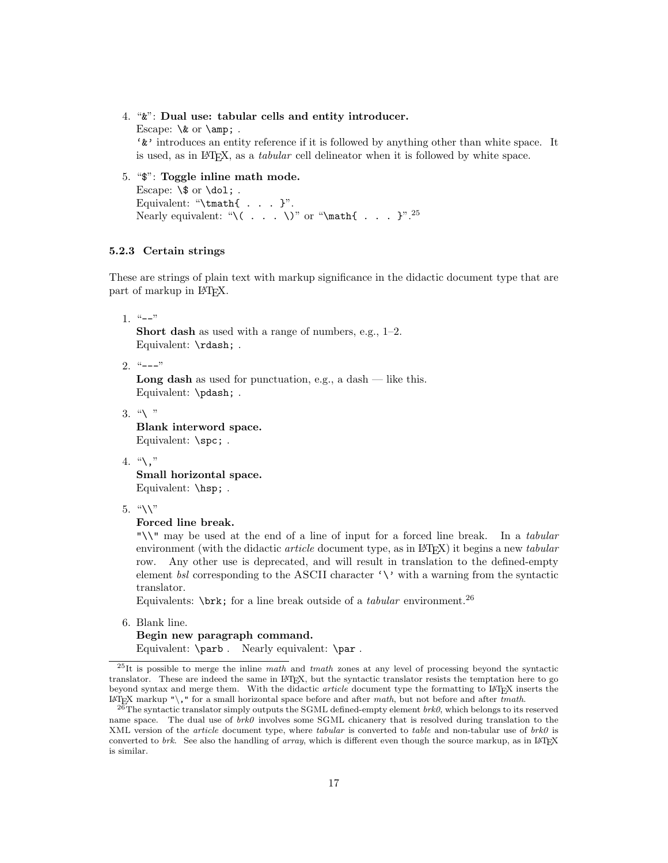### 4. "&": Dual use: tabular cells and entity introducer.

Escape:  $\&$  or  $\amp{\text{amp}}$ ; . '&' introduces an entity reference if it is followed by anything other than white space. It is used, as in  $BTRX$ , as a *tabular* cell delineator when it is followed by white space.

5. "\$": Toggle inline math mode. Escape:  $\$  or  $\delta$ .

Equivalent: "\tmath{ . . . }". Nearly equivalent: "\( . . . \)" or "\math{ . . . }".<sup>25</sup>

# 5.2.3 Certain strings

These are strings of plain text with markup significance in the didactic document type that are part of markup in L<sup>AT</sup>FX.

1.  $"--"$ 

Short dash as used with a range of numbers, e.g., 1–2. Equivalent: \rdash; .

 $2.$  "---"

**Long dash** as used for punctuation, e.g., a dash  $-$  like this. Equivalent: \pdash; .

 $3.$  " $\backslash$ "

Blank interword space. Equivalent: \spc; .

4.  $\sqrt{}}$ ,"

Small horizontal space. Equivalent: \hsp; .

 $5.$  "\\"

### Forced line break.

"\\" may be used at the end of a line of input for a forced line break. In a tabular environment (with the didactic *article* document type, as in  $\mathbb{F}(\mathbb{F}(\mathbf{X}))$  it begins a new *tabular* row. Any other use is deprecated, and will result in translation to the defined-empty element bsl corresponding to the ASCII character  $\langle \cdot \rangle$  with a warning from the syntactic translator.

Equivalents:  $\braket{\text{brk}}$  for a line break outside of a *tabular* environment.<sup>26</sup>

6. Blank line.

```
Begin new paragraph command.
Equivalent: \parb . Nearly equivalent: \par .
```
 $^{25}$ It is possible to merge the inline math and tmath zones at any level of processing beyond the syntactic translator. These are indeed the same in LATEX, but the syntactic translator resists the temptation here to go beyond syntax and merge them. With the didactic article document type the formatting to LATEX inserts the  $\text{LATEX}$  markup "\," for a small horizontal space before and after math, but not before and after tmath.

 $^{26}$ The syntactic translator simply outputs the SGML defined-empty element  $brk0$ , which belongs to its reserved name space. The dual use of  $brk0$  involves some SGML chicanery that is resolved during translation to the XML version of the article document type, where tabular is converted to table and non-tabular use of  $brk0$  is converted to brk. See also the handling of array, which is different even though the source markup, as in LATEX is similar.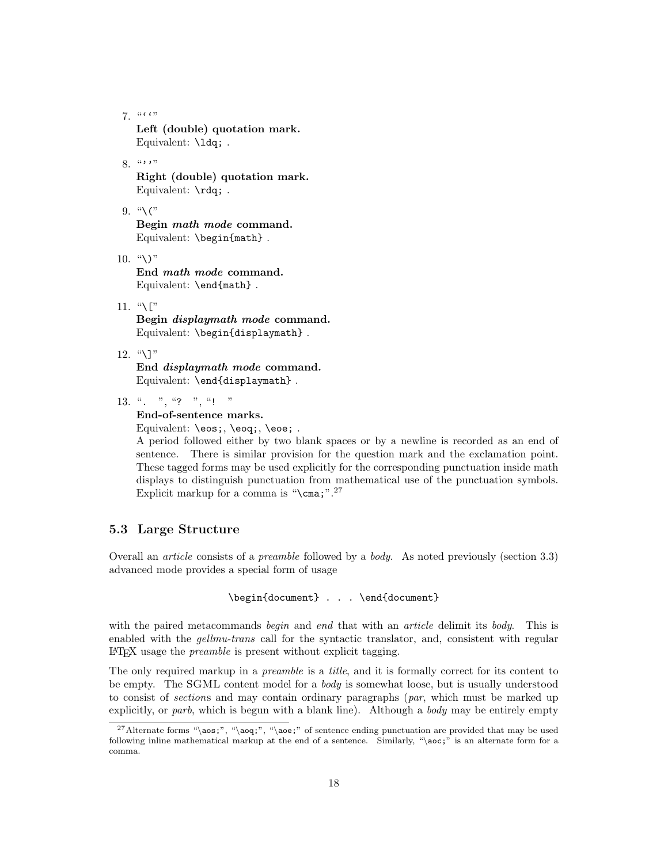$7.$  "'"

Left (double) quotation mark. Equivalent: \ldq; .

# $8.$  "'"

Right (double) quotation mark. Equivalent: \rdq; .

9.  $\sqrt[4]{(}$ 

Begin math mode command. Equivalent: \begin{math} .

 $10.$  "\)"

End math mode command. Equivalent: \end{math} .

11. " $\Gamma$ "

Begin displaymath mode command. Equivalent: \begin{displaymath} .

12. "\]"

End displaymath mode command. Equivalent: \end{displaymath} .

13. ". ", "? ", "! "

### End-of-sentence marks.

Equivalent: \eos;, \eoq;, \eoe;.

A period followed either by two blank spaces or by a newline is recorded as an end of sentence. There is similar provision for the question mark and the exclamation point. These tagged forms may be used explicitly for the corresponding punctuation inside math displays to distinguish punctuation from mathematical use of the punctuation symbols. Explicit markup for a comma is " $\text{cma};$ ".<sup>27</sup>

# 5.3 Large Structure

Overall an article consists of a preamble followed by a body. As noted previously (section 3.3) advanced mode provides a special form of usage

```
\begin{document} . . . \end{document}
```
with the paired metacommands begin and end that with an *article* delimit its body. This is enabled with the *gellmu-trans* call for the syntactic translator, and, consistent with regular LATEX usage the preamble is present without explicit tagging.

The only required markup in a *preamble* is a *title*, and it is formally correct for its content to be empty. The SGML content model for a *body* is somewhat loose, but is usually understood to consist of sections and may contain ordinary paragraphs (par, which must be marked up explicitly, or parb, which is begun with a blank line). Although a body may be entirely empty

<sup>&</sup>lt;sup>27</sup>Alternate forms "\aos;", "\aoq;", "\aoe;" of sentence ending punctuation are provided that may be used following inline mathematical markup at the end of a sentence. Similarly, "\aoc;" is an alternate form for a comma.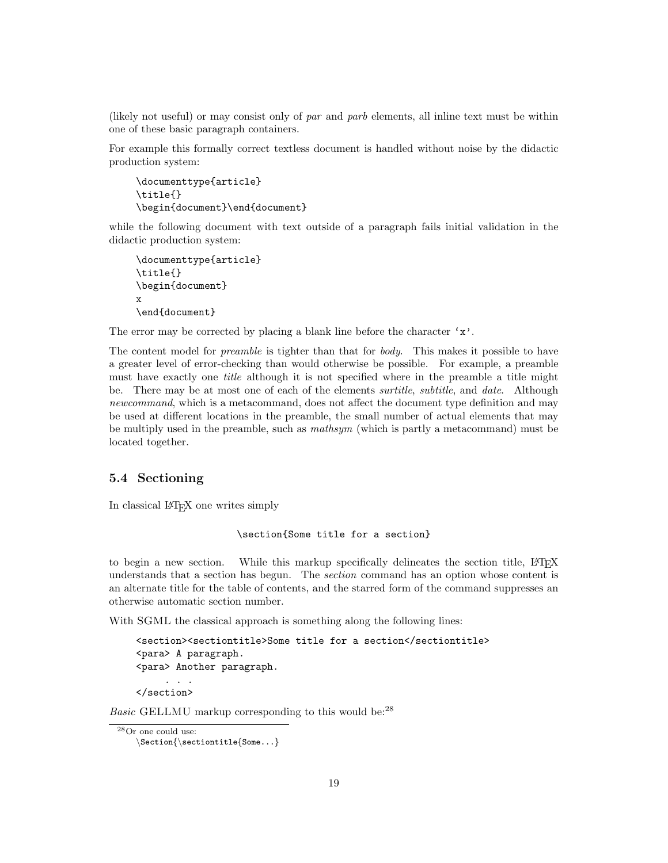(likely not useful) or may consist only of par and parb elements, all inline text must be within one of these basic paragraph containers.

For example this formally correct textless document is handled without noise by the didactic production system:

```
\documenttype{article}
\title{}
\begin{document}\end{document}
```
while the following document with text outside of a paragraph fails initial validation in the didactic production system:

```
\documenttype{article}
\title{}
\begin{document}
x
\end{document}
```
The error may be corrected by placing a blank line before the character  $x'$ .

The content model for *preamble* is tighter than that for *body*. This makes it possible to have a greater level of error-checking than would otherwise be possible. For example, a preamble must have exactly one title although it is not specified where in the preamble a title might be. There may be at most one of each of the elements *surtitle*, *subtitle*, and *date*. Although newcommand, which is a metacommand, does not affect the document type definition and may be used at different locations in the preamble, the small number of actual elements that may be multiply used in the preamble, such as mathsym (which is partly a metacommand) must be located together.

# 5.4 Sectioning

In classical LATEX one writes simply

```
\section{Some title for a section}
```
to begin a new section. While this markup specifically delineates the section title, LATEX understands that a section has begun. The section command has an option whose content is an alternate title for the table of contents, and the starred form of the command suppresses an otherwise automatic section number.

With SGML the classical approach is something along the following lines:

```
<section><sectiontitle>Some title for a section</sectiontitle>
<para> A paragraph.
<para> Another paragraph.
     . . . . .
</section>
```
Basic GELLMU markup corresponding to this would be:<sup>28</sup>

```
28Or one could use:
```
 $\setminus$ Section{ $\setminus$ sectiontitle{Some...}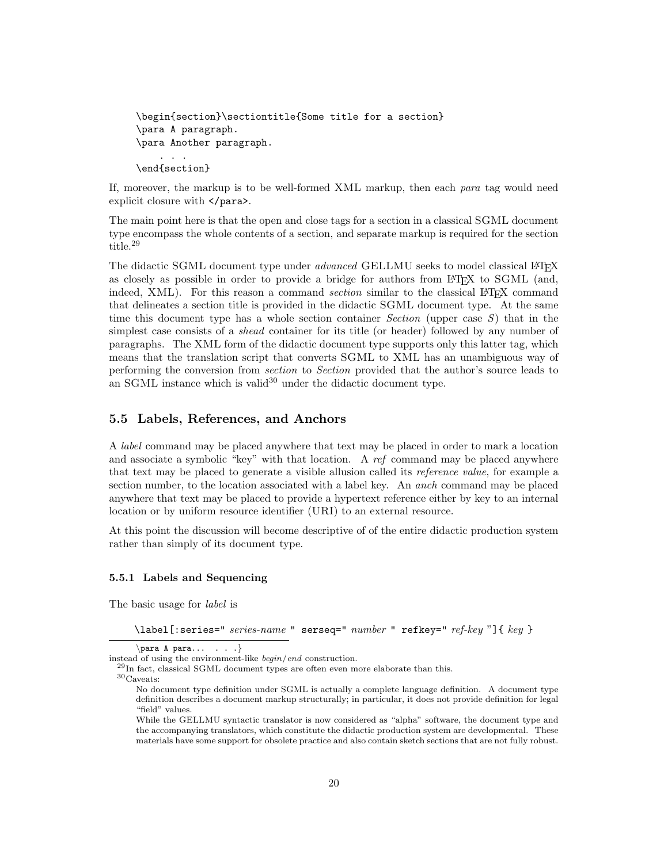```
\begin{section}\sectiontitle{Some title for a section}
\para A paragraph.
\para Another paragraph.
    . . .
\end{section}
```
If, moreover, the markup is to be well-formed XML markup, then each para tag would need explicit closure with  $\langle$  para $\rangle$ .

The main point here is that the open and close tags for a section in a classical SGML document type encompass the whole contents of a section, and separate markup is required for the section title.<sup>29</sup>

The didactic SGML document type under *advanced* GELLMU seeks to model classical LATEX as closely as possible in order to provide a bridge for authors from LAT<sub>EX</sub> to SGML (and, indeed, XML). For this reason a command *section* similar to the classical L<sup>AT</sup>EX command that delineates a section title is provided in the didactic SGML document type. At the same time this document type has a whole section container *Section* (upper case  $S$ ) that in the simplest case consists of a shead container for its title (or header) followed by any number of paragraphs. The XML form of the didactic document type supports only this latter tag, which means that the translation script that converts SGML to XML has an unambiguous way of performing the conversion from section to Section provided that the author's source leads to an SGML instance which is valid<sup>30</sup> under the didactic document type.

# 5.5 Labels, References, and Anchors

A label command may be placed anywhere that text may be placed in order to mark a location and associate a symbolic "key" with that location. A ref command may be placed anywhere that text may be placed to generate a visible allusion called its reference value, for example a section number, to the location associated with a label key. An anch command may be placed anywhere that text may be placed to provide a hypertext reference either by key to an internal location or by uniform resource identifier (URI) to an external resource.

At this point the discussion will become descriptive of of the entire didactic production system rather than simply of its document type.

### 5.5.1 Labels and Sequencing

The basic usage for label is

\label[:series=" series-name " serseq=" number " refkey=" ref-key "]{ key }

 $\langle$ para A para... . . . }

instead of using the environment-like begin/end construction.

<sup>29</sup>In fact, classical SGML document types are often even more elaborate than this.

<sup>30</sup>Caveats:

No document type definition under SGML is actually a complete language definition. A document type definition describes a document markup structurally; in particular, it does not provide definition for legal "field" values.

While the GELLMU syntactic translator is now considered as "alpha" software, the document type and the accompanying translators, which constitute the didactic production system are developmental. These materials have some support for obsolete practice and also contain sketch sections that are not fully robust.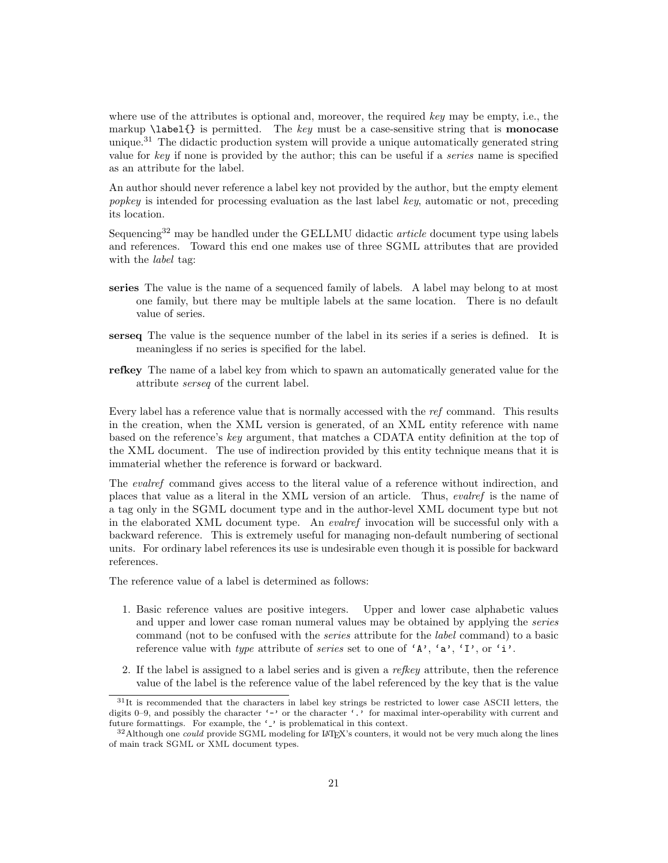where use of the attributes is optional and, moreover, the required key may be empty, i.e., the markup  $\lambda$ label{} is permitted. The key must be a case-sensitive string that is **monocase** unique.<sup>31</sup> The didactic production system will provide a unique automatically generated string value for key if none is provided by the author; this can be useful if a series name is specified as an attribute for the label.

An author should never reference a label key not provided by the author, but the empty element popkey is intended for processing evaluation as the last label key, automatic or not, preceding its location.

Sequencing<sup>32</sup> may be handled under the GELLMU didactic *article* document type using labels and references. Toward this end one makes use of three SGML attributes that are provided with the *label* tag:

- series The value is the name of a sequenced family of labels. A label may belong to at most one family, but there may be multiple labels at the same location. There is no default value of series.
- serseq The value is the sequence number of the label in its series if a series is defined. It is meaningless if no series is specified for the label.
- refkey The name of a label key from which to spawn an automatically generated value for the attribute serseq of the current label.

Every label has a reference value that is normally accessed with the ref command. This results in the creation, when the XML version is generated, of an XML entity reference with name based on the reference's key argument, that matches a CDATA entity definition at the top of the XML document. The use of indirection provided by this entity technique means that it is immaterial whether the reference is forward or backward.

The evalref command gives access to the literal value of a reference without indirection, and places that value as a literal in the XML version of an article. Thus, evalref is the name of a tag only in the SGML document type and in the author-level XML document type but not in the elaborated XML document type. An evalref invocation will be successful only with a backward reference. This is extremely useful for managing non-default numbering of sectional units. For ordinary label references its use is undesirable even though it is possible for backward references.

The reference value of a label is determined as follows:

- 1. Basic reference values are positive integers. Upper and lower case alphabetic values and upper and lower case roman numeral values may be obtained by applying the series command (not to be confused with the series attribute for the label command) to a basic reference value with type attribute of series set to one of 'A', 'a', 'I', or 'i'.
- 2. If the label is assigned to a label series and is given a *refleeu* attribute, then the reference value of the label is the reference value of the label referenced by the key that is the value

<sup>&</sup>lt;sup>31</sup>It is recommended that the characters in label key strings be restricted to lower case ASCII letters, the digits 0–9, and possibly the character '-' or the character '.' for maximal inter-operability with current and future formattings. For example, the '-' is problematical in this context.

 $32$ Although one *could* provide SGML modeling for LAT<sub>E</sub>X's counters, it would not be very much along the lines of main track SGML or XML document types.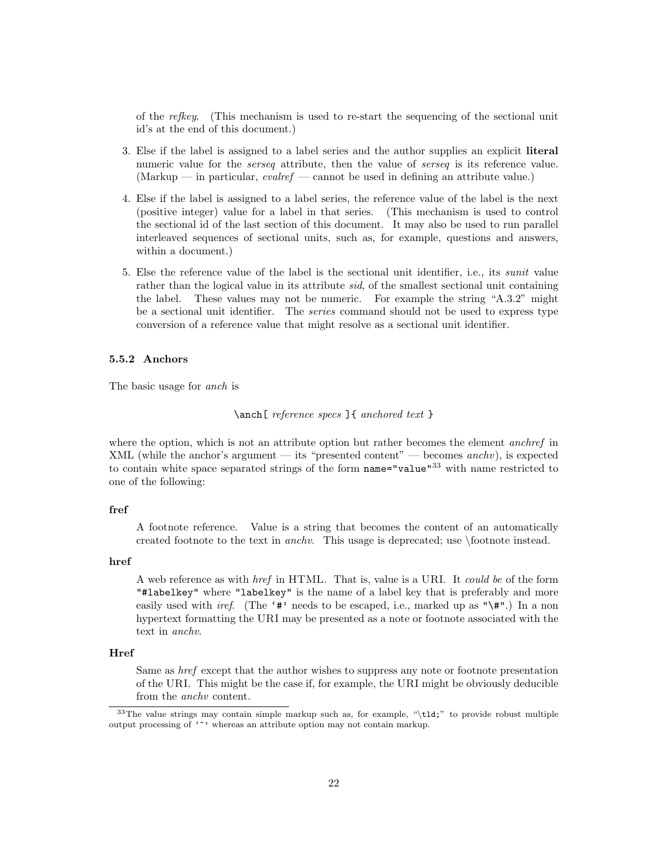of the refkey. (This mechanism is used to re-start the sequencing of the sectional unit id's at the end of this document.)

- 3. Else if the label is assigned to a label series and the author supplies an explicit literal numeric value for the *serseq* attribute, then the value of *serseq* is its reference value. (Markup — in particular, *evalref* — cannot be used in defining an attribute value.)
- 4. Else if the label is assigned to a label series, the reference value of the label is the next (positive integer) value for a label in that series. (This mechanism is used to control the sectional id of the last section of this document. It may also be used to run parallel interleaved sequences of sectional units, such as, for example, questions and answers, within a document.)
- 5. Else the reference value of the label is the sectional unit identifier, i.e., its sunit value rather than the logical value in its attribute *sid*, of the smallest sectional unit containing the label. These values may not be numeric. For example the string "A.3.2" might be a sectional unit identifier. The series command should not be used to express type conversion of a reference value that might resolve as a sectional unit identifier.

### 5.5.2 Anchors

The basic usage for anch is

\anch[ reference specs ]{ anchored text }

where the option, which is not an attribute option but rather becomes the element *anchref* in XML (while the anchor's argument — its "presented content" — becomes  $\text{anch}v$ ), is expected to contain white space separated strings of the form name="value"<sup>33</sup> with name restricted to one of the following:

### fref

A footnote reference. Value is a string that becomes the content of an automatically created footnote to the text in anchv. This usage is deprecated; use \footnote instead.

### href

A web reference as with href in HTML. That is, value is a URI. It could be of the form "#labelkey" where "labelkey" is the name of a label key that is preferably and more easily used with *iref.* (The '#' needs to be escaped, i.e., marked up as "\#".) In a non hypertext formatting the URI may be presented as a note or footnote associated with the text in anchv.

### Href

Same as href except that the author wishes to suppress any note or footnote presentation of the URI. This might be the case if, for example, the URI might be obviously deducible from the anchv content.

<sup>&</sup>lt;sup>33</sup>The value strings may contain simple markup such as, for example, "\tld;" to provide robust multiple output processing of '"' whereas an attribute option may not contain markup.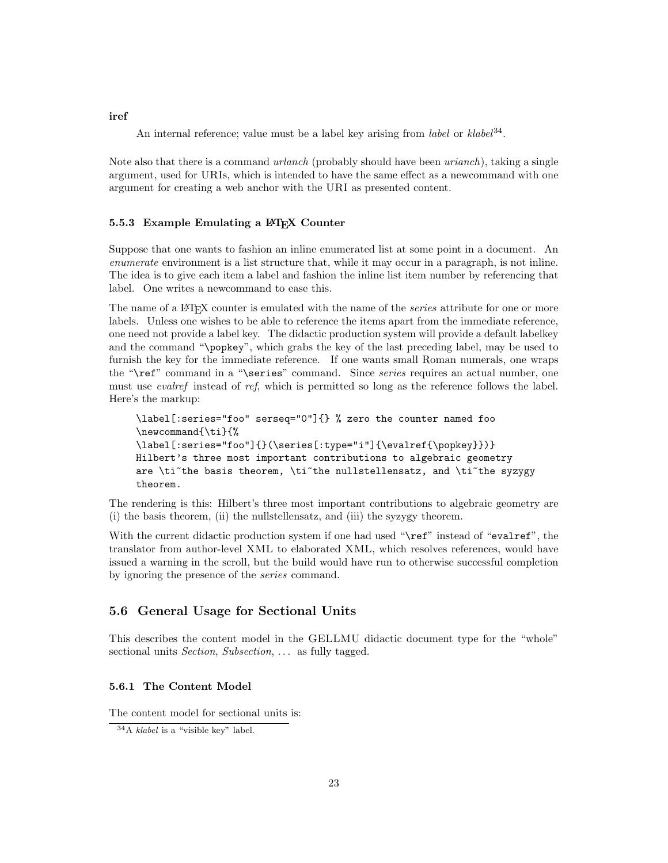An internal reference; value must be a label key arising from *label* or  $klabel<sup>34</sup>$ .

Note also that there is a command *urlanch* (probably should have been *urianch*), taking a single argument, used for URIs, which is intended to have the same effect as a newcommand with one argument for creating a web anchor with the URI as presented content.

### 5.5.3 Example Emulating a IAT<sub>E</sub>X Counter

Suppose that one wants to fashion an inline enumerated list at some point in a document. An enumerate environment is a list structure that, while it may occur in a paragraph, is not inline. The idea is to give each item a label and fashion the inline list item number by referencing that label. One writes a newcommand to ease this.

The name of a LAT<sub>EX</sub> counter is emulated with the name of the *series* attribute for one or more labels. Unless one wishes to be able to reference the items apart from the immediate reference, one need not provide a label key. The didactic production system will provide a default labelkey and the command "\popkey", which grabs the key of the last preceding label, may be used to furnish the key for the immediate reference. If one wants small Roman numerals, one wraps the "\ref" command in a "\series" command. Since *series* requires an actual number, one must use *evalref* instead of ref, which is permitted so long as the reference follows the label. Here's the markup:

```
\label[:series="foo" serseq="0"]{} % zero the counter named foo
\newcommand{\ti}{%
\label[:series="foo"]{}(\series[:type="i"]{\evalref{\popkey}})}
Hilbert's three most important contributions to algebraic geometry
are \ti<sup>~the</sup> basis theorem, \ti<sup>~the</sup> nullstellensatz, and \ti<sup>~the</sup> syzygy
theorem.
```
The rendering is this: Hilbert's three most important contributions to algebraic geometry are (i) the basis theorem, (ii) the nullstellensatz, and (iii) the syzygy theorem.

With the current didactic production system if one had used "\ref" instead of "evalref", the translator from author-level XML to elaborated XML, which resolves references, would have issued a warning in the scroll, but the build would have run to otherwise successful completion by ignoring the presence of the series command.

## 5.6 General Usage for Sectional Units

This describes the content model in the GELLMU didactic document type for the "whole" sectional units Section, Subsection, ... as fully tagged.

### 5.6.1 The Content Model

The content model for sectional units is:

#### iref

<sup>34</sup>A klabel is a "visible key" label.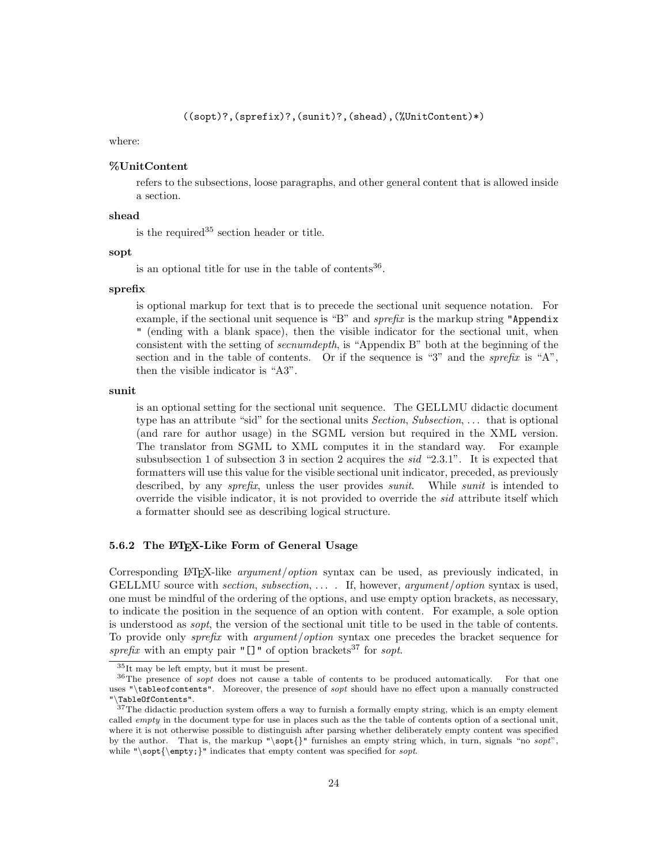### where:

### %UnitContent

refers to the subsections, loose paragraphs, and other general content that is allowed inside a section.

### shead

is the required  $35$  section header or title.

### sopt

is an optional title for use in the table of contents $36$ .

#### sprefix

is optional markup for text that is to precede the sectional unit sequence notation. For example, if the sectional unit sequence is "B" and *sprefix* is the markup string "Appendix " (ending with a blank space), then the visible indicator for the sectional unit, when consistent with the setting of secnumdepth, is "Appendix B" both at the beginning of the section and in the table of contents. Or if the sequence is "3" and the *sprefix* is "A", then the visible indicator is "A3".

### sunit

is an optional setting for the sectional unit sequence. The GELLMU didactic document type has an attribute "sid" for the sectional units *Section, Subsection, ...* that is optional (and rare for author usage) in the SGML version but required in the XML version. The translator from SGML to XML computes it in the standard way. For example subsubsection 1 of subsection 3 in section 2 acquires the sid "2.3.1". It is expected that formatters will use this value for the visible sectional unit indicator, preceded, as previously described, by any *sprefix*, unless the user provides *sunit*. While *sunit* is intended to override the visible indicator, it is not provided to override the sid attribute itself which a formatter should see as describing logical structure.

### 5.6.2 The LAT<sub>E</sub>X-Like Form of General Usage

Corresponding LATEX-like argument/option syntax can be used, as previously indicated, in GELLMU source with section, subsection,  $\dots$ . If, however, argument/option syntax is used, one must be mindful of the ordering of the options, and use empty option brackets, as necessary, to indicate the position in the sequence of an option with content. For example, a sole option is understood as sopt, the version of the sectional unit title to be used in the table of contents. To provide only sprefix with argument/option syntax one precedes the bracket sequence for sprefix with an empty pair " $[]$ " of option brackets<sup>37</sup> for sopt.

<sup>35</sup>It may be left empty, but it must be present.

<sup>&</sup>lt;sup>36</sup>The presence of *sopt* does not cause a table of contents to be produced automatically. For that one uses "\tableofcontents". Moreover, the presence of *sopt* should have no effect upon a manually constructed "\TableOfContents".

 $37$ The didactic production system offers a way to furnish a formally empty string, which is an empty element called *empty* in the document type for use in places such as the the table of contents option of a sectional unit, where it is not otherwise possible to distinguish after parsing whether deliberately empty content was specified by the author. That is, the markup " $\sqrt{\sqrt{}}$ " furnishes an empty string which, in turn, signals "no sopt", while "\sopt{\empty;}" indicates that empty content was specified for sopt.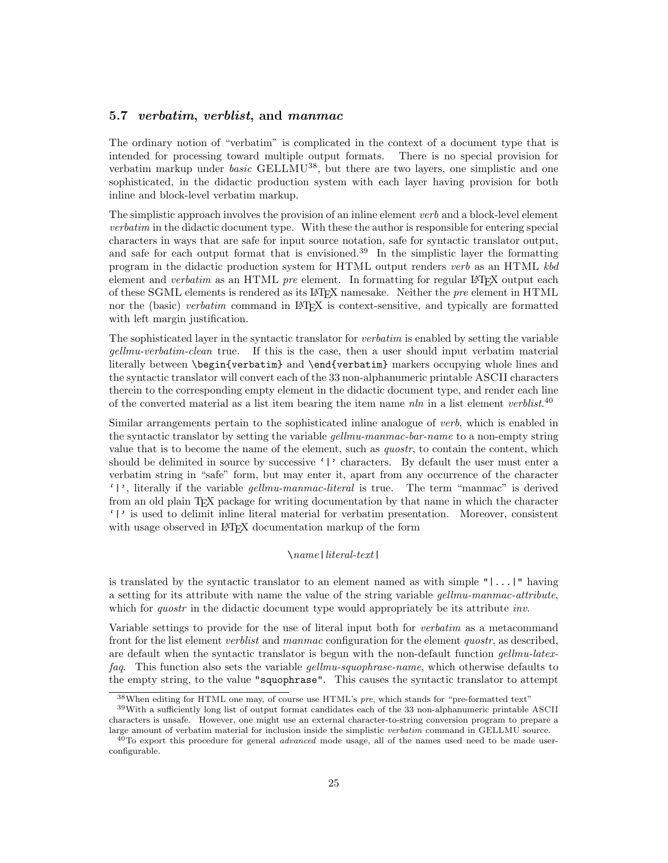### 5.7 verbatim, verblist, and manmac

The ordinary notion of "verbatim" is complicated in the context of a document type that is intended for processing toward multiple output formats. There is no special provision for verbatim markup under *basic* GELLMU<sup>38</sup>, but there are two layers, one simplistic and one sophisticated, in the didactic production system with each layer having provision for both inline and block-level verbatim markup.

The simplistic approach involves the provision of an inline element verb and a block-level element verbatim in the didactic document type. With these the author is responsible for entering special characters in ways that are safe for input source notation, safe for syntactic translator output, and safe for each output format that is envisioned.<sup>39</sup> In the simplistic layer the formatting program in the didactic production system for HTML output renders verb as an HTML kbd element and *verbatim* as an HTML *pre* element. In formatting for regular  $\mathbb{F}$ FEX output each of these SGML elements is rendered as its LATEX namesake. Neither the pre element in HTML nor the (basic) verbatim command in LAT<sub>EX</sub> is context-sensitive, and typically are formatted with left margin justification.

The sophisticated layer in the syntactic translator for verbatim is enabled by setting the variable gellmu-verbatim-clean true. If this is the case, then a user should input verbatim material literally between \begin{verbatim} and \end{verbatim} markers occupying whole lines and the syntactic translator will convert each of the 33 non-alphanumeric printable ASCII characters therein to the corresponding empty element in the didactic document type, and render each line of the converted material as a list item bearing the item name nln in a list element verblist.<sup>40</sup>

Similar arrangements pertain to the sophisticated inline analogue of verb, which is enabled in the syntactic translator by setting the variable *gellmu-manmac-bar-name* to a non-empty string value that is to become the name of the element, such as *quostr*, to contain the content, which should be delimited in source by successive '|' characters. By default the user must enter a verbatim string in "safe" form, but may enter it, apart from any occurrence of the character '|', literally if the variable gellmu-manmac-literal is true. The term "manmac" is derived from an old plain TEX package for writing documentation by that name in which the character '|' is used to delimit inline literal material for verbatim presentation. Moreover, consistent with usage observed in LAT<sub>EX</sub> documentation markup of the form

### \name|literal-text|

is translated by the syntactic translator to an element named as with simple  $"|\ldots|"$  having a setting for its attribute with name the value of the string variable gellmu-manmac-attribute, which for *quostr* in the didactic document type would appropriately be its attribute *inv*.

Variable settings to provide for the use of literal input both for verbatim as a metacommand front for the list element *verblist* and manmac configuration for the element *quostr*, as described, are default when the syntactic translator is begun with the non-default function *gellmu-latex*faq. This function also sets the variable *gellmu-squophrase-name*, which otherwise defaults to the empty string, to the value "squophrase". This causes the syntactic translator to attempt

 $38$ When editing for HTML one may, of course use HTML's *pre*, which stands for "pre-formatted text"

<sup>39</sup>With a sufficiently long list of output format candidates each of the 33 non-alphanumeric printable ASCII characters is unsafe. However, one might use an external character-to-string conversion program to prepare a large amount of verbatim material for inclusion inside the simplistic verbatim command in GELLMU source.

 $40$ To export this procedure for general *advanced* mode usage, all of the names used need to be made userconfigurable.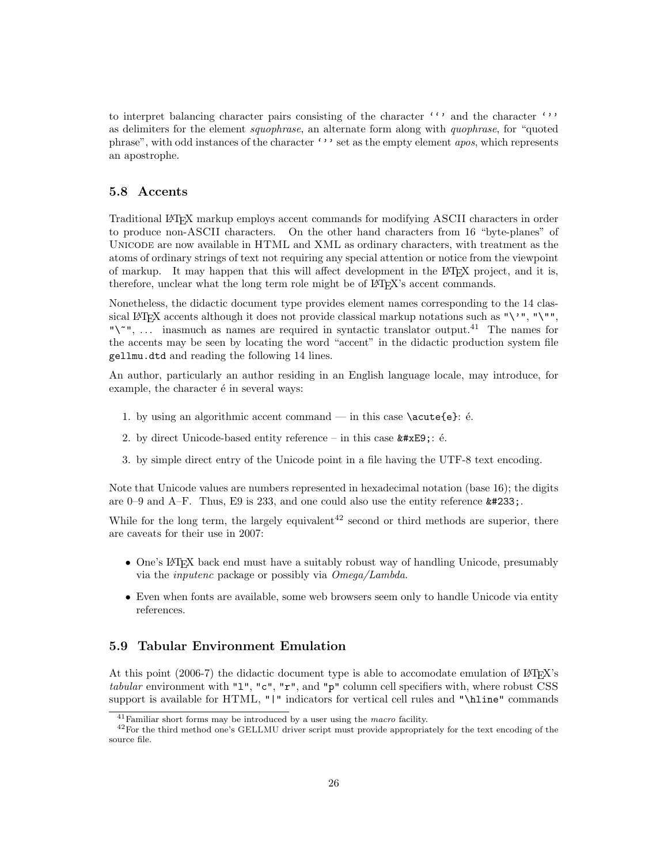to interpret balancing character pairs consisting of the character ''' and the character ''' as delimiters for the element squophrase, an alternate form along with quophrase, for "quoted phrase", with odd instances of the character ''' set as the empty element *apos*, which represents an apostrophe.

# 5.8 Accents

Traditional LATEX markup employs accent commands for modifying ASCII characters in order to produce non-ASCII characters. On the other hand characters from 16 "byte-planes" of Unicode are now available in HTML and XML as ordinary characters, with treatment as the atoms of ordinary strings of text not requiring any special attention or notice from the viewpoint of markup. It may happen that this will affect development in the LATEX project, and it is, therefore, unclear what the long term role might be of LATEX's accent commands.

Nonetheless, the didactic document type provides element names corresponding to the 14 classical LAT<sub>E</sub>X accents although it does not provide classical markup notations such as "\'", "\"", "\", ... inasmuch as names are required in syntactic translator output.<sup>41</sup> The names for the accents may be seen by locating the word "accent" in the didactic production system file gellmu.dtd and reading the following 14 lines.

An author, particularly an author residing in an English language locale, may introduce, for example, the character  $\acute{\text{e}}$  in several ways:

- 1. by using an algorithmic accent command in this case  $\acute{e}$ :  $\acute{e}$ .
- 2. by direct Unicode-based entity reference in this case  $\texttt{é}$ ; é.
- 3. by simple direct entry of the Unicode point in a file having the UTF-8 text encoding.

Note that Unicode values are numbers represented in hexadecimal notation (base 16); the digits are 0–9 and A–F. Thus, E9 is 233, and one could also use the entity reference  $\text{\#233:}$ .

While for the long term, the largely equivalent<sup>42</sup> second or third methods are superior, there are caveats for their use in 2007:

- One's LATEX back end must have a suitably robust way of handling Unicode, presumably via the inputenc package or possibly via Omega/Lambda.
- Even when fonts are available, some web browsers seem only to handle Unicode via entity references.

# 5.9 Tabular Environment Emulation

At this point (2006-7) the didactic document type is able to accomodate emulation of  $\langle \text{ATRX} \rangle$ s tabular environment with "l", "c", "r", and "p" column cell specifiers with, where robust CSS support is available for HTML, "|" indicators for vertical cell rules and "\hline" commands

 $41$  Familiar short forms may be introduced by a user using the *macro* facility.

<sup>42</sup>For the third method one's GELLMU driver script must provide appropriately for the text encoding of the source file.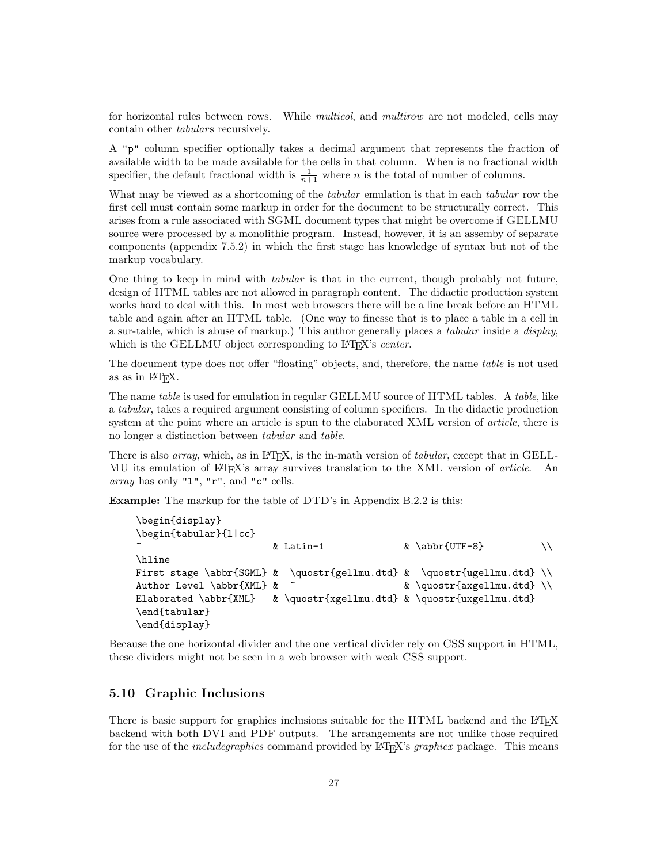for horizontal rules between rows. While *multicol*, and *multirow* are not modeled, cells may contain other *tabulars* recursively.

A "p" column specifier optionally takes a decimal argument that represents the fraction of available width to be made available for the cells in that column. When is no fractional width specifier, the default fractional width is  $\frac{1}{n+1}$  where n is the total of number of columns.

What may be viewed as a shortcoming of the *tabular* emulation is that in each *tabular* row the first cell must contain some markup in order for the document to be structurally correct. This arises from a rule associated with SGML document types that might be overcome if GELLMU source were processed by a monolithic program. Instead, however, it is an assemby of separate components (appendix 7.5.2) in which the first stage has knowledge of syntax but not of the markup vocabulary.

One thing to keep in mind with tabular is that in the current, though probably not future, design of HTML tables are not allowed in paragraph content. The didactic production system works hard to deal with this. In most web browsers there will be a line break before an HTML table and again after an HTML table. (One way to finesse that is to place a table in a cell in a sur-table, which is abuse of markup.) This author generally places a tabular inside a display, which is the GELLMU object corresponding to LAT<sub>EX</sub>'s *center*.

The document type does not offer "floating" objects, and, therefore, the name table is not used as as in LATEX.

The name table is used for emulation in regular GELLMU source of HTML tables. A table, like a tabular, takes a required argument consisting of column specifiers. In the didactic production system at the point where an article is spun to the elaborated XML version of *article*, there is no longer a distinction between tabular and table.

There is also *array*, which, as in L<sup>AT</sup>EX, is the in-math version of *tabular*, except that in GELL-MU its emulation of LAT<sub>EX</sub>'s array survives translation to the XML version of *article*. An array has only "1", " $r$ ", and " $c$ " cells.

Example: The markup for the table of DTD's in Appendix B.2.2 is this:

```
\begin{display}
\begin{tabular}{l|cc}
                     & Latin-1 \& \abbr{UTF-8} \\
\hline
First stage \abbr{SGML} & \quostr{gellmu.dtd} & \quostr{ugellmu.dtd} \\
Author Level \abbr{XML} & ~ \& \quostr{axgellmu.dtd} \\
Elaborated \abbr{XML} & \quostr{xgellmu.dtd} & \quostr{uxgellmu.dtd}
\end{tabular}
\end{display}
```
Because the one horizontal divider and the one vertical divider rely on CSS support in HTML, these dividers might not be seen in a web browser with weak CSS support.

# 5.10 Graphic Inclusions

There is basic support for graphics inclusions suitable for the HTML backend and the L<sup>AT</sup>EX backend with both DVI and PDF outputs. The arrangements are not unlike those required for the use of the *includegraphics* command provided by LAT<sub>EX</sub>'s *graphicx* package. This means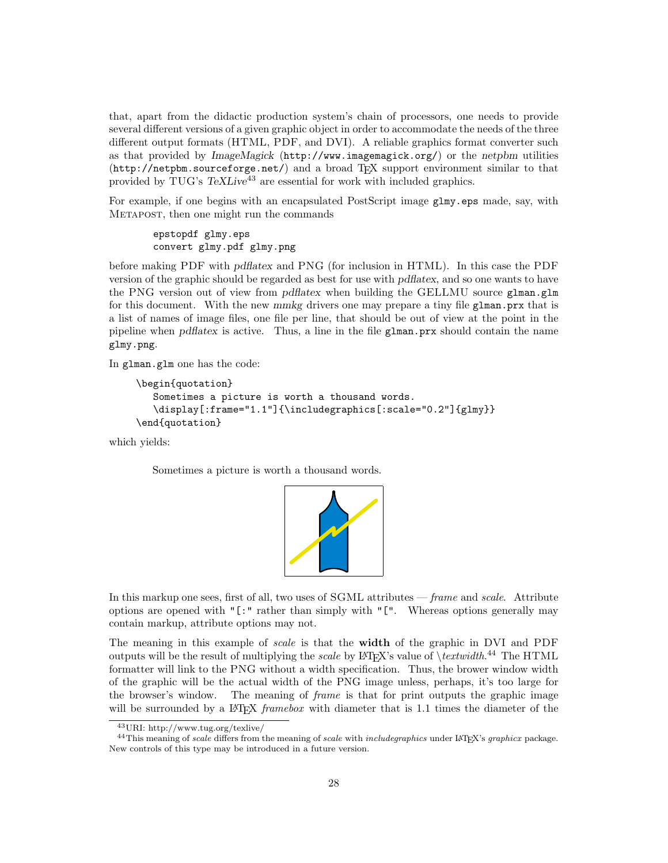that, apart from the didactic production system's chain of processors, one needs to provide several different versions of a given graphic object in order to accommodate the needs of the three different output formats (HTML, PDF, and DVI). A reliable graphics format converter such as that provided by ImageMagick (http://www.imagemagick.org/) or the netpbm utilities (http://netpbm.sourceforge.net/) and a broad TEX support environment similar to that provided by TUG's  $T\llbracket K\llbracket$  are essential for work with included graphics.

For example, if one begins with an encapsulated PostScript image glmy.eps made, say, with Metapost, then one might run the commands

epstopdf glmy.eps convert glmy.pdf glmy.png

before making PDF with pdflatex and PNG (for inclusion in HTML). In this case the PDF version of the graphic should be regarded as best for use with pdflatex, and so one wants to have the PNG version out of view from pdflatex when building the GELLMU source glman.glm for this document. With the new mmkg drivers one may prepare a tiny file glman.prx that is a list of names of image files, one file per line, that should be out of view at the point in the pipeline when pdflatex is active. Thus, a line in the file glman.prx should contain the name glmy.png.

In glman.glm one has the code:

```
\begin{quotation}
  Sometimes a picture is worth a thousand words.
   \display[:frame="1.1"]{\includegraphics[:scale="0.2"]{glmy}}
\end{quotation}
```
which yields:

Sometimes a picture is worth a thousand words.



In this markup one sees, first of all, two uses of SGML attributes — frame and scale. Attribute options are opened with "[:" rather than simply with "[". Whereas options generally may contain markup, attribute options may not.

The meaning in this example of scale is that the width of the graphic in DVI and PDF outputs will be the result of multiplying the *scale* by L<sup>AT</sup>EX's value of  $\text{Textwidth}.<sup>44</sup>$  The HTML formatter will link to the PNG without a width specification. Thus, the brower window width of the graphic will be the actual width of the PNG image unless, perhaps, it's too large for the browser's window. The meaning of frame is that for print outputs the graphic image will be surrounded by a LATEX *framebox* with diameter that is 1.1 times the diameter of the

<sup>43</sup>URI: http://www.tug.org/texlive/

<sup>&</sup>lt;sup>44</sup>This meaning of scale differs from the meaning of scale with includegraphics under LAT<sub>E</sub>X's graphicx package. New controls of this type may be introduced in a future version.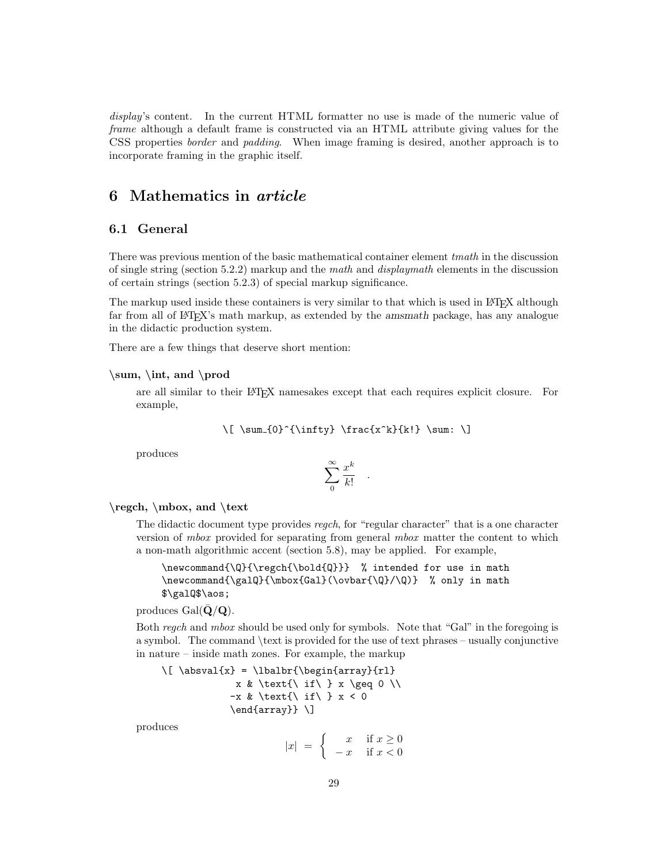display's content. In the current HTML formatter no use is made of the numeric value of frame although a default frame is constructed via an HTML attribute giving values for the CSS properties border and padding. When image framing is desired, another approach is to incorporate framing in the graphic itself.

# 6 Mathematics in article

# 6.1 General

There was previous mention of the basic mathematical container element tmath in the discussion of single string (section 5.2.2) markup and the math and displaymath elements in the discussion of certain strings (section 5.2.3) of special markup significance.

The markup used inside these containers is very similar to that which is used in LAT<sub>EX</sub> although far from all of LATEX's math markup, as extended by the amsmath package, has any analogue in the didactic production system.

There are a few things that deserve short mention:

### $\sum, \int,$  and  $\prod$

are all similar to their LATEX namesakes except that each requires explicit closure. For example,

$$
\{ \sum_{0}^{\infty} \frac{x^k}{k!} \sum: \}
$$

produces

$$
\sum_{0}^{\infty} \frac{x^k}{k!}
$$

.

### \regch, \mbox, and \text

The didactic document type provides regch, for "regular character" that is a one character version of mbox provided for separating from general mbox matter the content to which a non-math algorithmic accent (section 5.8), may be applied. For example,

\newcommand{\Q}{\regch{\bold{Q}}} % intended for use in math \newcommand{\galQ}{\mbox{Gal}(\ovbar{\Q}/\Q)} % only in math \$\galQ\$\aos;

produces  $Gal(\bar{\mathbf{Q}}/\mathbf{Q})$ .

Both regch and mbox should be used only for symbols. Note that "Gal" in the foregoing is a symbol. The command \text is provided for the use of text phrases – usually conjunctive in nature – inside math zones. For example, the markup

```
\[ \absval{x} = \lbalbr{\begin{array}{rl}
             x & \text{\ if\ } x \geq 0 \\
            -x & \text{\ if\ } x < 0
            \end{array}} \]
```
produces

$$
|x| = \begin{cases} x & \text{if } x \ge 0\\ -x & \text{if } x < 0 \end{cases}
$$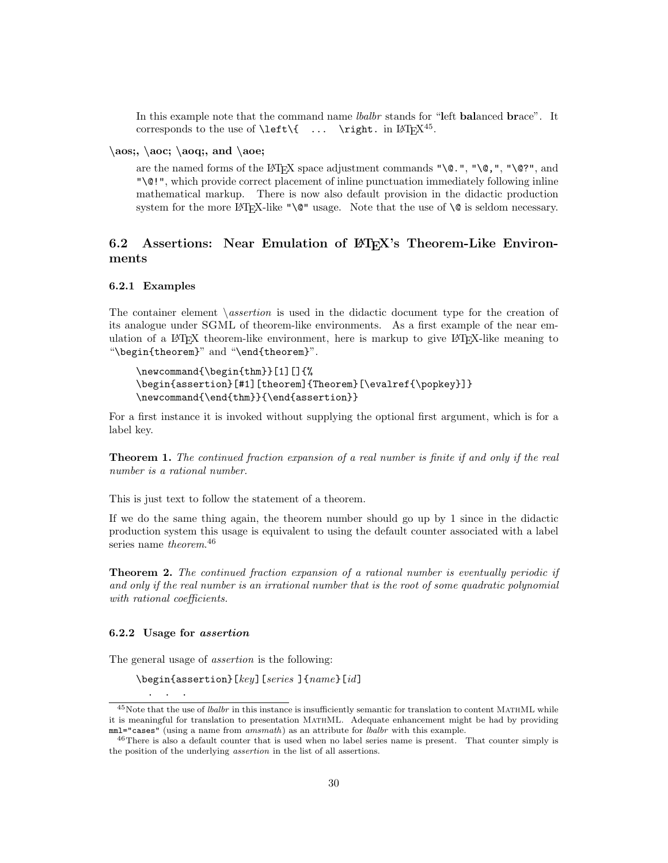In this example note that the command name *lbalbr* stands for "left **balanced brace**". It corresponds to the use of **\left\{** ... **\right**. in  $\mathbb{P}X^{45}$ .

### $\aos; \ aoc; \ aog; \ and \ aoe;$

are the named forms of the LAT<sub>EX</sub> space adjustment commands " $\Diamond$ .", " $\Diamond$ ,", " $\Diamond$ ?", and "\@!", which provide correct placement of inline punctuation immediately following inline mathematical markup. There is now also default provision in the didactic production system for the more LATEX-like " $\mathcal{Q}$ " usage. Note that the use of  $\Diamond$  is seldom necessary.

# 6.2 Assertions: Near Emulation of LAT<sub>EX</sub>'s Theorem-Like Environments

### 6.2.1 Examples

The container element  $\setminus assertion$  is used in the didactic document type for the creation of its analogue under SGML of theorem-like environments. As a first example of the near emulation of a LATEX theorem-like environment, here is markup to give LATEX-like meaning to "\begin{theorem}" and "\end{theorem}".

\newcommand{\begin{thm}}[1][]{% \begin{assertion}[#1][theorem]{Theorem}[\evalref{\popkey}]} \newcommand{\end{thm}}{\end{assertion}}

For a first instance it is invoked without supplying the optional first argument, which is for a label key.

**Theorem 1.** The continued fraction expansion of a real number is finite if and only if the real number is a rational number.

This is just text to follow the statement of a theorem.

If we do the same thing again, the theorem number should go up by 1 since in the didactic production system this usage is equivalent to using the default counter associated with a label series name *theorem*.<sup>46</sup>

**Theorem 2.** The continued fraction expansion of a rational number is eventually periodic if and only if the real number is an irrational number that is the root of some quadratic polynomial with rational coefficients.

### 6.2.2 Usage for assertion

The general usage of assertion is the following:

```
\begin{assertion}[key][series ]{name}[id]
```
. . .

 $^{45}$ Note that the use of *lbalbr* in this instance is insufficiently semantic for translation to content MATHML while it is meaningful for translation to presentation MATHML. Adequate enhancement might be had by providing mml="cases" (using a name from *amsmath*) as an attribute for *lbalbr* with this example.

<sup>46</sup>There is also a default counter that is used when no label series name is present. That counter simply is the position of the underlying assertion in the list of all assertions.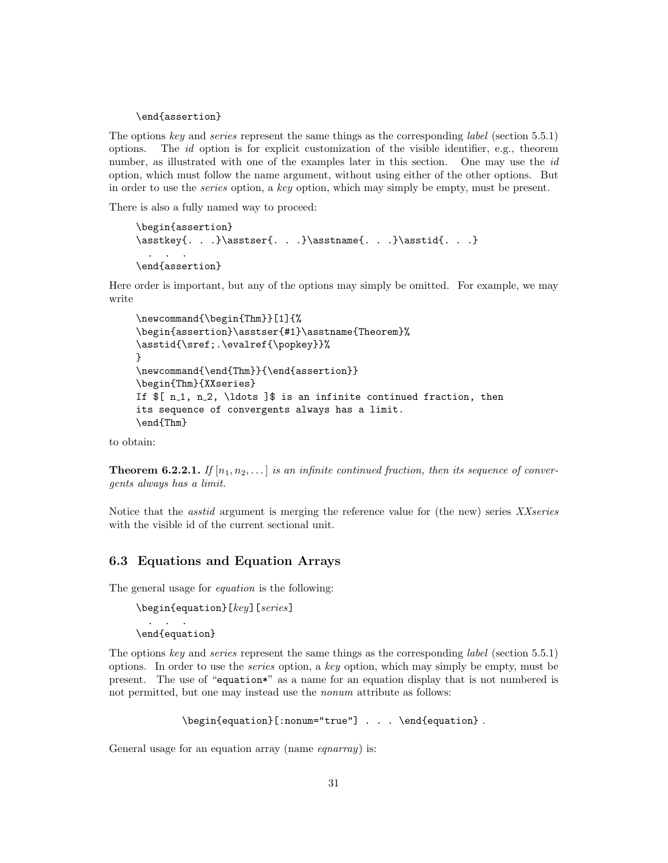\end{assertion}

The options key and series represent the same things as the corresponding *label* (section 5.5.1) options. The  $id$  option is for explicit customization of the visible identifier, e.g., theorem number, as illustrated with one of the examples later in this section. One may use the id option, which must follow the name argument, without using either of the other options. But in order to use the series option, a key option, which may simply be empty, must be present.

There is also a fully named way to proceed:

```
\begin{assertion}
\asstkey{. . .}\asstser{. . .}\asstname{. . .}\asstid{. . .}
  . . .
\end{assertion}
```
Here order is important, but any of the options may simply be omitted. For example, we may write

```
\newcommand{\begin{Thm}}[1]{%
\begin{assertion}\asstser{#1}\asstname{Theorem}%
\asstid{\sref;.\evalref{\popkey}}%
}
\newcommand{\end{Thm}}{\end{assertion}}
\begin{Thm}{XXseries}
If \{ n_1, n_2, \ldots \} is an infinite continued fraction, then
its sequence of convergents always has a limit.
\end{Thm}
```
to obtain:

**Theorem 6.2.2.1.** If  $[n_1, n_2, \ldots]$  is an infinite continued fraction, then its sequence of convergents always has a limit.

Notice that the *asstid* argument is merging the reference value for (the new) series XXseries with the visible id of the current sectional unit.

## 6.3 Equations and Equation Arrays

The general usage for equation is the following:

```
\begin{equation}[key][series]
    . . .
\end{equation}
```
The options key and series represent the same things as the corresponding *label* (section 5.5.1) options. In order to use the series option, a key option, which may simply be empty, must be present. The use of "equation\*" as a name for an equation display that is not numbered is not permitted, but one may instead use the *nonum* attribute as follows:

```
\begin{equation}[:nonum="true"] . . . \end{equation} .
```
General usage for an equation array (name *eqnarray*) is: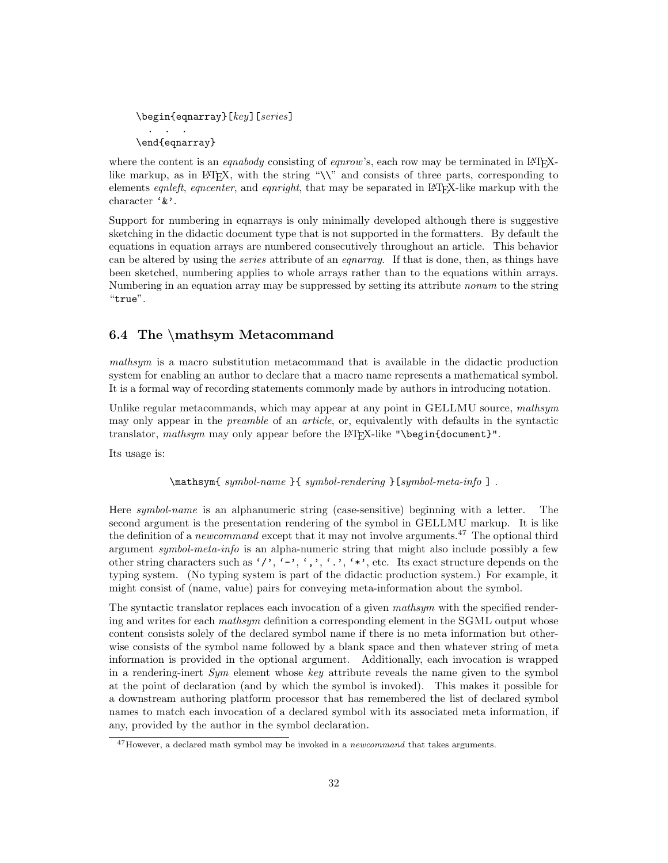```
\begin{eqnarray}[key][series]
 . . .
\end{eqnarray}
```
where the content is an *eqnabody* consisting of *eqnrow*'s, each row may be terminated in LAT<sub>E</sub>Xlike markup, as in LATEX, with the string " $\setminus\$ " and consists of three parts, corresponding to elements equality equality equality equality equality that may be separated in L<sup>AT</sup>FX-like markup with the character '&'.

Support for numbering in eqnarrays is only minimally developed although there is suggestive sketching in the didactic document type that is not supported in the formatters. By default the equations in equation arrays are numbered consecutively throughout an article. This behavior can be altered by using the *series* attribute of an *equarray*. If that is done, then, as things have been sketched, numbering applies to whole arrays rather than to the equations within arrays. Numbering in an equation array may be suppressed by setting its attribute nonum to the string "true".

# 6.4 The \mathsym Metacommand

mathsym is a macro substitution metacommand that is available in the didactic production system for enabling an author to declare that a macro name represents a mathematical symbol. It is a formal way of recording statements commonly made by authors in introducing notation.

Unlike regular metacommands, which may appear at any point in GELLMU source, mathsym may only appear in the preamble of an article, or, equivalently with defaults in the syntactic translator, mathsym may only appear before the LAT<sub>EX</sub>-like "\begin{document}".

Its usage is:

\mathsym{ symbol-name }{ symbol-rendering }[symbol-meta-info ] .

Here symbol-name is an alphanumeric string (case-sensitive) beginning with a letter. The second argument is the presentation rendering of the symbol in GELLMU markup. It is like the definition of a *newcommand* except that it may not involve arguments.<sup>47</sup> The optional third argument symbol-meta-info is an alpha-numeric string that might also include possibly a few other string characters such as '/', '-', ',', '.', '\*', etc. Its exact structure depends on the typing system. (No typing system is part of the didactic production system.) For example, it might consist of (name, value) pairs for conveying meta-information about the symbol.

The syntactic translator replaces each invocation of a given mathsym with the specified rendering and writes for each *mathsym* definition a corresponding element in the SGML output whose content consists solely of the declared symbol name if there is no meta information but otherwise consists of the symbol name followed by a blank space and then whatever string of meta information is provided in the optional argument. Additionally, each invocation is wrapped in a rendering-inert  $Sum$  element whose key attribute reveals the name given to the symbol at the point of declaration (and by which the symbol is invoked). This makes it possible for a downstream authoring platform processor that has remembered the list of declared symbol names to match each invocation of a declared symbol with its associated meta information, if any, provided by the author in the symbol declaration.

<sup>&</sup>lt;sup>47</sup>However, a declared math symbol may be invoked in a *newcommand* that takes arguments.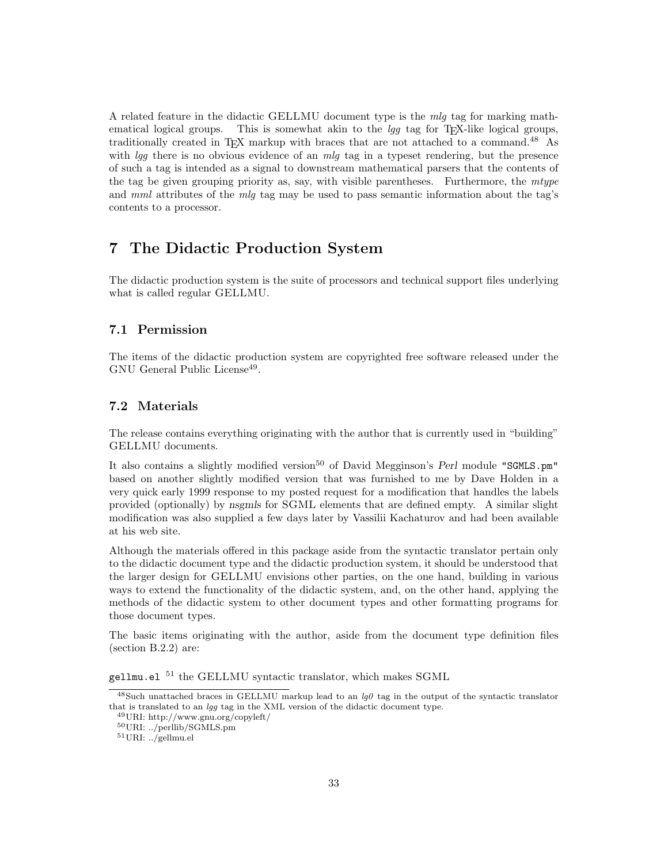A related feature in the didactic GELLMU document type is the mlg tag for marking mathematical logical groups. This is somewhat akin to the  $\log t$  tag for T<sub>E</sub>X-like logical groups, traditionally created in T<sub>EX</sub> markup with braces that are not attached to a command.<sup>48</sup> As with  $\log$  there is no obvious evidence of an mlg tag in a typeset rendering, but the presence of such a tag is intended as a signal to downstream mathematical parsers that the contents of the tag be given grouping priority as, say, with visible parentheses. Furthermore, the  $mtype$ and mml attributes of the mlg tag may be used to pass semantic information about the tag's contents to a processor.

# 7 The Didactic Production System

The didactic production system is the suite of processors and technical support files underlying what is called regular GELLMU.

# 7.1 Permission

The items of the didactic production system are copyrighted free software released under the GNU General Public License<sup>49</sup>.

## 7.2 Materials

The release contains everything originating with the author that is currently used in "building" GELLMU documents.

It also contains a slightly modified version<sup>50</sup> of David Megginson's Perl module "SGMLS.pm" based on another slightly modified version that was furnished to me by Dave Holden in a very quick early 1999 response to my posted request for a modification that handles the labels provided (optionally) by nsgmls for SGML elements that are defined empty. A similar slight modification was also supplied a few days later by Vassilii Kachaturov and had been available at his web site.

Although the materials offered in this package aside from the syntactic translator pertain only to the didactic document type and the didactic production system, it should be understood that the larger design for GELLMU envisions other parties, on the one hand, building in various ways to extend the functionality of the didactic system, and, on the other hand, applying the methods of the didactic system to other document types and other formatting programs for those document types.

The basic items originating with the author, aside from the document type definition files (section B.2.2) are:

 $g$ ellmu.el  $^{51}$  the GELLMU syntactic translator, which makes SGML

<sup>&</sup>lt;sup>48</sup>Such unattached braces in GELLMU markup lead to an  $lq0$  tag in the output of the syntactic translator that is translated to an lgg tag in the XML version of the didactic document type.

<sup>49</sup>URI: http://www.gnu.org/copyleft/

<sup>50</sup>URI: ../perllib/SGMLS.pm

<sup>51</sup>URI: ../gellmu.el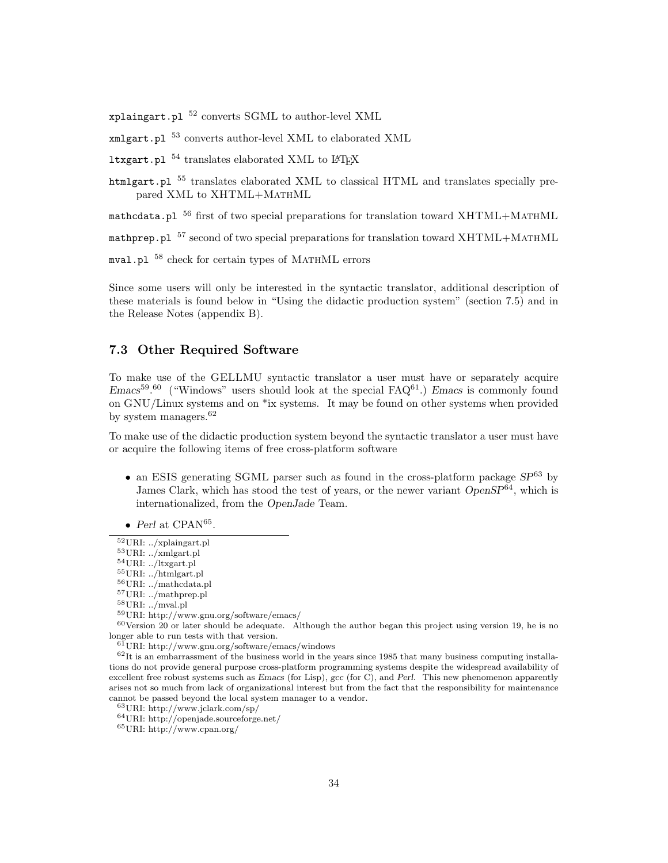xplaingart.pl  $52$  converts SGML to author-level XML

xmlgart.pl <sup>53</sup> converts author-level XML to elaborated XML

ltxgart.pl  $^{54}$  translates elaborated XML to L<sup>4</sup>T<sub>F</sub>X

htmlgart.pl  $^{55}$  translates elaborated XML to classical HTML and translates specially prepared XML to XHTML+MathML

mathcdata.pl  $^{56}$  first of two special preparations for translation toward XHTML+MATHML

mathprep.pl  $57$  second of two special preparations for translation toward XHTML+MATHML

mval.pl  $^{58}$  check for certain types of MATHML errors

Since some users will only be interested in the syntactic translator, additional description of these materials is found below in "Using the didactic production system" (section 7.5) and in the Release Notes (appendix B).

## 7.3 Other Required Software

To make use of the GELLMU syntactic translator a user must have or separately acquire  $Emacs^{59.60}$  ("Windows" users should look at the special  $FAQ^{61}$ .) Emacs is commonly found on GNU/Linux systems and on \*ix systems. It may be found on other systems when provided by system managers.<sup>62</sup>

To make use of the didactic production system beyond the syntactic translator a user must have or acquire the following items of free cross-platform software

- an ESIS generating SGML parser such as found in the cross-platform package  $SP^{63}$  by James Clark, which has stood the test of years, or the newer variant  $OpenSP^{64}$ , which is internationalized, from the OpenJade Team.
- Perl at CPAN $^{65}$ .

<sup>52</sup>URI: ../xplaingart.pl

<sup>53</sup>URI: ../xmlgart.pl  $^{54}\rm{URI:}$  ../ltxgart.pl

 $^{55}\rm{URI:}$  ../htmlgart.pl

<sup>56</sup>URI: ../mathcdata.pl

 $^{57}\rm{URI:}$  ../math<br>prep.pl

<sup>58</sup>URI: ../mval.pl

<sup>59</sup>URI: http://www.gnu.org/software/emacs/

 $60$ Version 20 or later should be adequate. Although the author began this project using version 19, he is no longer able to run tests with that version.

<sup>61</sup>URI: http://www.gnu.org/software/emacs/windows

 $62$ It is an embarrassment of the business world in the years since 1985 that many business computing installations do not provide general purpose cross-platform programming systems despite the widespread availability of excellent free robust systems such as Emacs (for Lisp), gcc (for C), and Perl. This new phenomenon apparently arises not so much from lack of organizational interest but from the fact that the responsibility for maintenance cannot be passed beyond the local system manager to a vendor.

<sup>63</sup>URI: http://www.jclark.com/sp/

<sup>64</sup>URI: http://openjade.sourceforge.net/

<sup>65</sup>URI: http://www.cpan.org/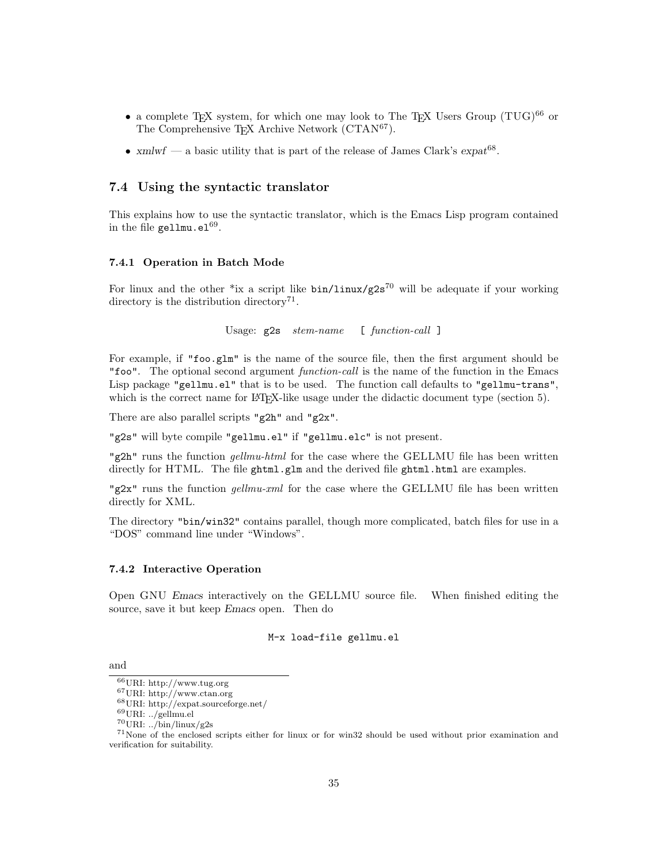- a complete TEX system, for which one may look to The TEX Users Group  $(TUG)^{66}$  or The Comprehensive T<sub>E</sub>X Archive Network (CTAN<sup>67</sup>).
- xmlwf a basic utility that is part of the release of James Clark's  $\exp at^{68}$ .

### 7.4 Using the syntactic translator

This explains how to use the syntactic translator, which is the Emacs Lisp program contained in the file gellmu.el $^{69}$ .

### 7.4.1 Operation in Batch Mode

For linux and the other \*ix a script like  $bin/$ linux/g2s<sup>70</sup> will be adequate if your working directory is the distribution directory<sup>71</sup>.

Usage:  $g2s$  stem-name [ function-call ]

For example, if "foo.glm" is the name of the source file, then the first argument should be "foo". The optional second argument function-call is the name of the function in the Emacs Lisp package "gellmu.el" that is to be used. The function call defaults to "gellmu-trans", which is the correct name for LAT<sub>EX</sub>-like usage under the didactic document type (section 5).

There are also parallel scripts "g2h" and "g2x".

"g2s" will byte compile "gellmu.el" if "gellmu.elc" is not present.

"g2h" runs the function *gellmu-html* for the case where the GELLMU file has been written directly for HTML. The file ghtml.glm and the derived file ghtml.html are examples.

"g2x" runs the function *gellmu-xml* for the case where the GELLMU file has been written directly for XML.

The directory "bin/win32" contains parallel, though more complicated, batch files for use in a "DOS" command line under "Windows".

### 7.4.2 Interactive Operation

Open GNU Emacs interactively on the GELLMU source file. When finished editing the source, save it but keep Emacs open. Then do

M-x load-file gellmu.el

and

 $^{66}\rm{URI:}$  http://www.tug.org

<sup>67</sup>URI: http://www.ctan.org

 $^{68}\rm{URI:}$ http://expat.sourceforge.net/

 $^{69}\rm{URI:}$  ../gellmu.el

<sup>70</sup>URI: ../bin/linux/g2s

<sup>71</sup>None of the enclosed scripts either for linux or for win32 should be used without prior examination and verification for suitability.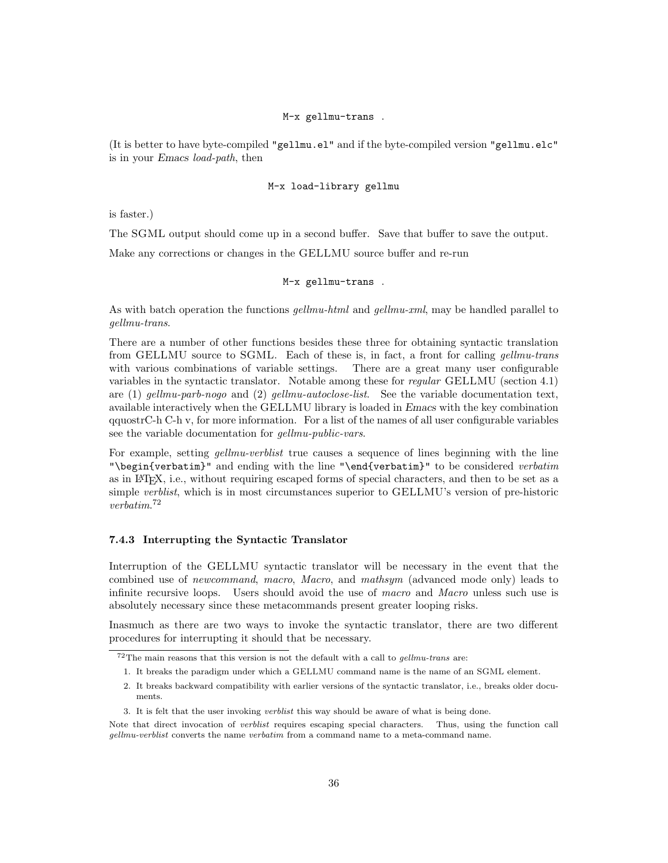### M-x gellmu-trans .

(It is better to have byte-compiled "gellmu.el" and if the byte-compiled version "gellmu.elc" is in your Emacs load-path, then

### M-x load-library gellmu

is faster.)

The SGML output should come up in a second buffer. Save that buffer to save the output.

Make any corrections or changes in the GELLMU source buffer and re-run

### M-x gellmu-trans .

As with batch operation the functions *gellmu-html* and *gellmu-xml*, may be handled parallel to gellmu-trans.

There are a number of other functions besides these three for obtaining syntactic translation from GELLMU source to SGML. Each of these is, in fact, a front for calling gellmu-trans with various combinations of variable settings. There are a great many user configurable variables in the syntactic translator. Notable among these for regular GELLMU (section 4.1) are  $(1)$  gellmu-parb-nogo and  $(2)$  gellmu-autoclose-list. See the variable documentation text, available interactively when the GELLMU library is loaded in Emacs with the key combination qquostrC-h C-h v, for more information. For a list of the names of all user configurable variables see the variable documentation for *gellmu-public-vars*.

For example, setting *gellmu-verblist* true causes a sequence of lines beginning with the line "\begin{verbatim}" and ending with the line "\end{verbatim}" to be considered verbatim as in LATEX, i.e., without requiring escaped forms of special characters, and then to be set as a simple verblist, which is in most circumstances superior to GELLMU's version of pre-historic verbatim. 72

### 7.4.3 Interrupting the Syntactic Translator

Interruption of the GELLMU syntactic translator will be necessary in the event that the combined use of newcommand, macro, Macro, and mathsym (advanced mode only) leads to infinite recursive loops. Users should avoid the use of macro and Macro unless such use is absolutely necessary since these metacommands present greater looping risks.

Inasmuch as there are two ways to invoke the syntactic translator, there are two different procedures for interrupting it should that be necessary.

 $^{72}\mathrm{The}$  main reasons that this version is not the default with a call to  $gellmu\text{-}trans$  are:

<sup>1.</sup> It breaks the paradigm under which a GELLMU command name is the name of an SGML element.

<sup>2.</sup> It breaks backward compatibility with earlier versions of the syntactic translator, i.e., breaks older documents.

<sup>3.</sup> It is felt that the user invoking verblist this way should be aware of what is being done.

Note that direct invocation of *verblist* requires escaping special characters. Thus, using the function call gellmu-verblist converts the name verbatim from a command name to a meta-command name.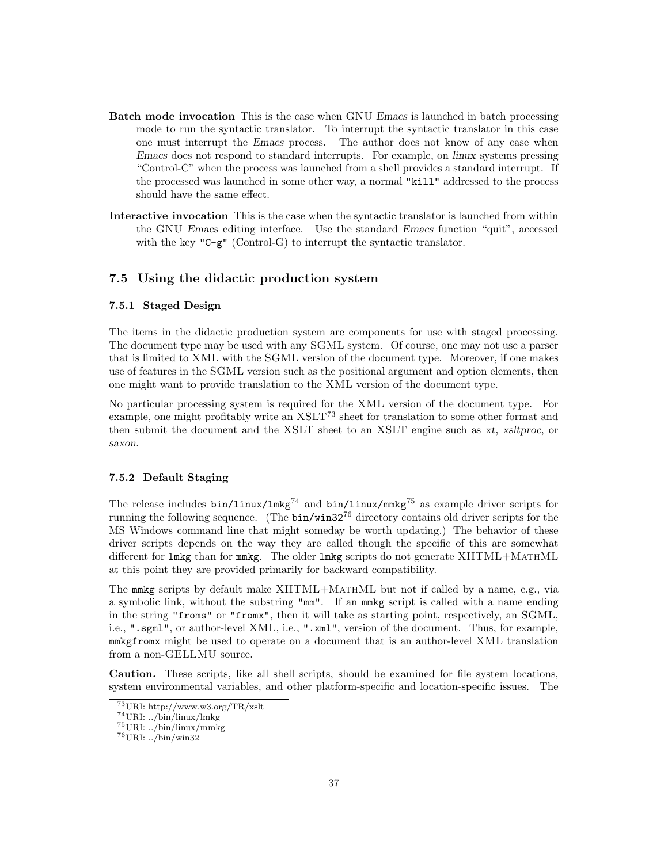- Batch mode invocation This is the case when GNU Emacs is launched in batch processing mode to run the syntactic translator. To interrupt the syntactic translator in this case one must interrupt the Emacs process. The author does not know of any case when Emacs does not respond to standard interrupts. For example, on linux systems pressing "Control-C" when the process was launched from a shell provides a standard interrupt. If the processed was launched in some other way, a normal "kill" addressed to the process should have the same effect.
- Interactive invocation This is the case when the syntactic translator is launched from within the GNU Emacs editing interface. Use the standard Emacs function "quit", accessed with the key " $C-g$ " (Control-G) to interrupt the syntactic translator.

## 7.5 Using the didactic production system

### 7.5.1 Staged Design

The items in the didactic production system are components for use with staged processing. The document type may be used with any SGML system. Of course, one may not use a parser that is limited to XML with the SGML version of the document type. Moreover, if one makes use of features in the SGML version such as the positional argument and option elements, then one might want to provide translation to the XML version of the document type.

No particular processing system is required for the XML version of the document type. For example, one might profitably write an  $XSLT<sup>73</sup>$  sheet for translation to some other format and then submit the document and the XSLT sheet to an XSLT engine such as xt, xsltproc, or saxon.

### 7.5.2 Default Staging

The release includes  $bin/linux/Imkg^{74}$  and  $bin/linux/mmkg^{75}$  as example driver scripts for running the following sequence. (The  $bin/win32^{76}$  directory contains old driver scripts for the MS Windows command line that might someday be worth updating.) The behavior of these driver scripts depends on the way they are called though the specific of this are somewhat different for lmkg than for mmkg. The older lmkg scripts do not generate XHTML+MATHML at this point they are provided primarily for backward compatibility.

The mmkg scripts by default make XHTML+MATHML but not if called by a name, e.g., via a symbolic link, without the substring "mm". If an mmkg script is called with a name ending in the string "froms" or "fromx", then it will take as starting point, respectively, an SGML, i.e., ".sgml", or author-level XML, i.e., ".xml", version of the document. Thus, for example, mmkgfromx might be used to operate on a document that is an author-level XML translation from a non-GELLMU source.

Caution. These scripts, like all shell scripts, should be examined for file system locations, system environmental variables, and other platform-specific and location-specific issues. The

<sup>73</sup>URI: http://www.w3.org/TR/xslt

<sup>74</sup>URI: ../bin/linux/lmkg

 $^{75}$ URI: ../bin/linux/mmkg

<sup>76</sup>URI: ../bin/win32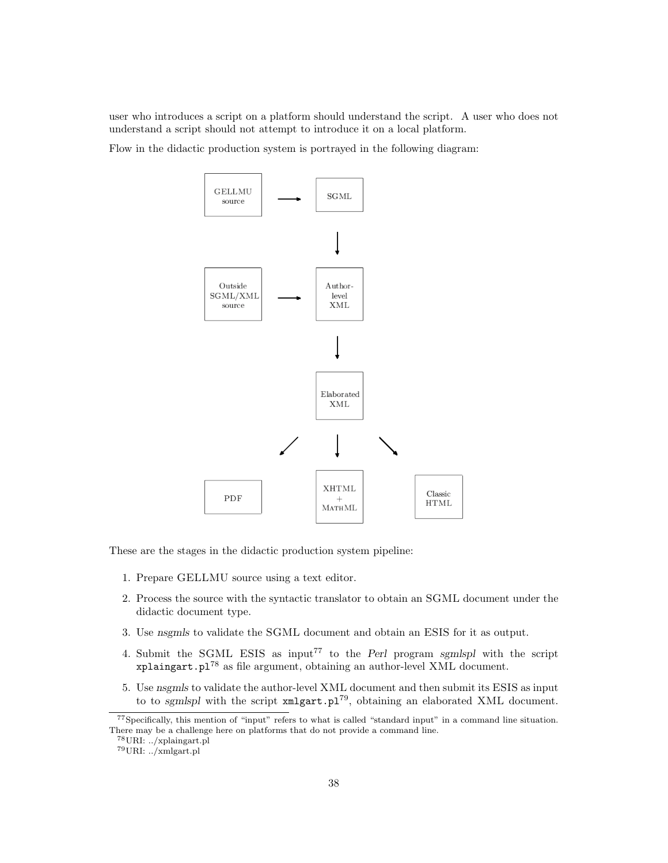user who introduces a script on a platform should understand the script. A user who does not understand a script should not attempt to introduce it on a local platform.

Flow in the didactic production system is portrayed in the following diagram:



These are the stages in the didactic production system pipeline:

- 1. Prepare GELLMU source using a text editor.
- 2. Process the source with the syntactic translator to obtain an SGML document under the didactic document type.
- 3. Use nsgmls to validate the SGML document and obtain an ESIS for it as output.
- 4. Submit the SGML ESIS as input<sup>77</sup> to the *Perl* program sgmlspl with the script xplaingart.pl<sup>78</sup> as file argument, obtaining an author-level XML document.
- 5. Use nsgmls to validate the author-level XML document and then submit its ESIS as input to to sgmlspl with the script  $xmlgart.p1^{79}$ , obtaining an elaborated XML document.

 $^{78}\rm{URI:}$  ../xplaingart.pl

<sup>77</sup>Specifically, this mention of "input" refers to what is called "standard input" in a command line situation. There may be a challenge here on platforms that do not provide a command line.

<sup>79</sup>URI: ../xmlgart.pl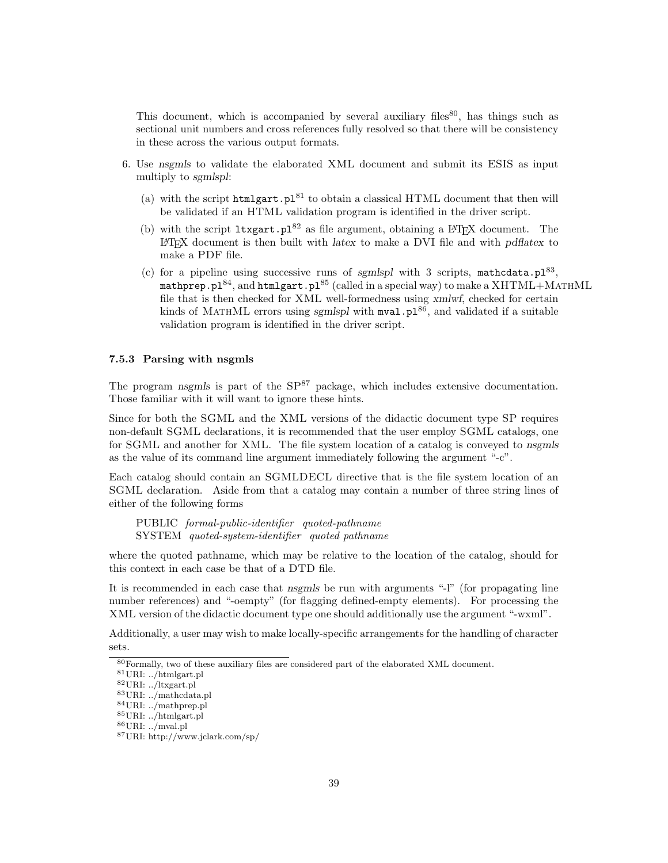This document, which is accompanied by several auxiliary files  $80$ , has things such as sectional unit numbers and cross references fully resolved so that there will be consistency in these across the various output formats.

- 6. Use nsgmls to validate the elaborated XML document and submit its ESIS as input multiply to sgmlspl:
	- (a) with the script htmlgart.pl<sup>81</sup> to obtain a classical HTML document that then will be validated if an HTML validation program is identified in the driver script.
	- (b) with the script  $ltxgart.p1^{82}$  as file argument, obtaining a LATEX document. The <sup>L</sup>ATEX document is then built with latex to make a DVI file and with pdflatex to make a PDF file.
	- (c) for a pipeline using successive runs of sgmlspl with 3 scripts, mathcdata.pl<sup>83</sup>, mathprep.pl<sup>84</sup>, and htmlgart.pl<sup>85</sup> (called in a special way) to make a  $XHTML+MATHML$ file that is then checked for XML well-formedness using xmlwf, checked for certain kinds of MATHML errors using sgmlspl with  $mval.p1^{86}$ , and validated if a suitable validation program is identified in the driver script.

### 7.5.3 Parsing with nsgmls

The program nsgmls is part of the  $SP^{87}$  package, which includes extensive documentation. Those familiar with it will want to ignore these hints.

Since for both the SGML and the XML versions of the didactic document type SP requires non-default SGML declarations, it is recommended that the user employ SGML catalogs, one for SGML and another for XML. The file system location of a catalog is conveyed to nsgmls as the value of its command line argument immediately following the argument "-c".

Each catalog should contain an SGMLDECL directive that is the file system location of an SGML declaration. Aside from that a catalog may contain a number of three string lines of either of the following forms

PUBLIC formal-public-identifier quoted-pathname SYSTEM quoted-system-identifier quoted pathname

where the quoted pathname, which may be relative to the location of the catalog, should for this context in each case be that of a DTD file.

It is recommended in each case that nsgmls be run with arguments "-l" (for propagating line number references) and "-oempty" (for flagging defined-empty elements). For processing the XML version of the didactic document type one should additionally use the argument "-wxml".

Additionally, a user may wish to make locally-specific arrangements for the handling of character sets.

<sup>80</sup>Formally, two of these auxiliary files are considered part of the elaborated XML document.

 $^{81}\rm{URI:}$  ../htmlgart.pl

<sup>82</sup>URI: ../ltxgart.pl

<sup>83</sup>URI: ../mathcdata.pl <sup>84</sup>URI: ../mathprep.pl

<sup>85</sup>URI: ../htmlgart.pl

 $^{86}\rm{URI:}$  ../mval.pl

<sup>87</sup>URI: http://www.jclark.com/sp/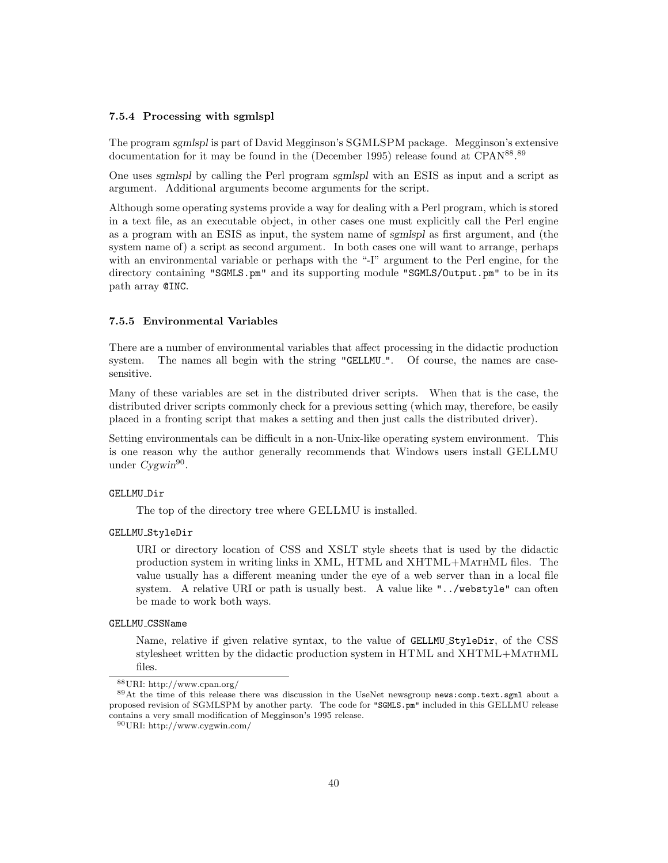### 7.5.4 Processing with sgmlspl

The program sgmlspl is part of David Megginson's SGMLSPM package. Megginson's extensive documentation for it may be found in the (December 1995) release found at CPAN<sup>88</sup>.<sup>89</sup>

One uses sgmlspl by calling the Perl program sgmlspl with an ESIS as input and a script as argument. Additional arguments become arguments for the script.

Although some operating systems provide a way for dealing with a Perl program, which is stored in a text file, as an executable object, in other cases one must explicitly call the Perl engine as a program with an ESIS as input, the system name of sgmlspl as first argument, and (the system name of) a script as second argument. In both cases one will want to arrange, perhaps with an environmental variable or perhaps with the "-I" argument to the Perl engine, for the directory containing "SGMLS.pm" and its supporting module "SGMLS/Output.pm" to be in its path array @INC.

### 7.5.5 Environmental Variables

There are a number of environmental variables that affect processing in the didactic production system. The names all begin with the string "GELLMU<sub>-</sub>". Of course, the names are casesensitive.

Many of these variables are set in the distributed driver scripts. When that is the case, the distributed driver scripts commonly check for a previous setting (which may, therefore, be easily placed in a fronting script that makes a setting and then just calls the distributed driver).

Setting environmentals can be difficult in a non-Unix-like operating system environment. This is one reason why the author generally recommends that Windows users install GELLMU under Cygwin<sup>90</sup>.

### GELLMU\_Dir

The top of the directory tree where GELLMU is installed.

### GELLMU StyleDir

URI or directory location of CSS and XSLT style sheets that is used by the didactic production system in writing links in XML, HTML and XHTML+MathML files. The value usually has a different meaning under the eye of a web server than in a local file system. A relative URI or path is usually best. A value like "../webstyle" can often be made to work both ways.

### GELLMU CSSName

Name, relative if given relative syntax, to the value of GELLMU StyleDir, of the CSS stylesheet written by the didactic production system in HTML and XHTML+MathML files.

<sup>88</sup>URI: http://www.cpan.org/

<sup>89</sup>At the time of this release there was discussion in the UseNet newsgroup news:comp.text.sgml about a proposed revision of SGMLSPM by another party. The code for "SGMLS.pm" included in this GELLMU release contains a very small modification of Megginson's 1995 release.

<sup>90</sup>URI: http://www.cygwin.com/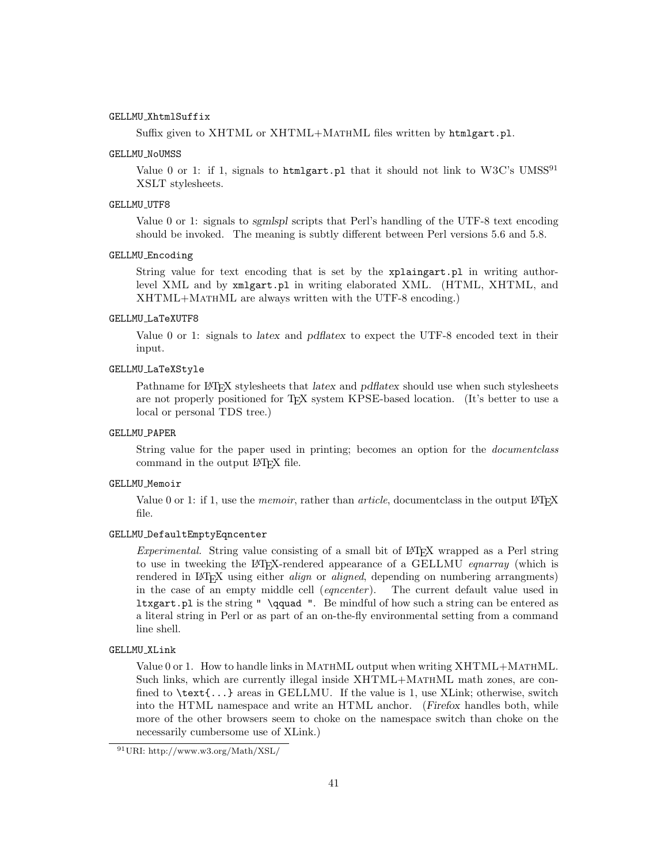### GELLMU XhtmlSuffix

Suffix given to XHTML or XHTML+MATHML files written by htmlgart.pl.

### GELLMU\_NoUMSS

Value 0 or 1: if 1, signals to htmlgart.pl that it should not link to  $W3C$ 's UMSS<sup>91</sup> XSLT stylesheets.

### GELLMU\_UTF8

Value 0 or 1: signals to sgmlspl scripts that Perl's handling of the UTF-8 text encoding should be invoked. The meaning is subtly different between Perl versions 5.6 and 5.8.

### GELLMU Encoding

String value for text encoding that is set by the xplaingart.pl in writing authorlevel XML and by xmlgart.pl in writing elaborated XML. (HTML, XHTML, and XHTML+MathML are always written with the UTF-8 encoding.)

### GELLMU LaTeXUTF8

Value 0 or 1: signals to latex and pdflatex to expect the UTF-8 encoded text in their input.

#### GELLMU LaTeXStyle

Pathname for LATEX stylesheets that latex and pdflatex should use when such stylesheets are not properly positioned for T<sub>E</sub>X system KPSE-based location. (It's better to use a local or personal TDS tree.)

### GELLMU PAPER

String value for the paper used in printing; becomes an option for the documentclass command in the output LAT<sub>EX</sub> file.

### GELLMU Memoir

Value 0 or 1: if 1, use the *memoir*, rather than *article*, documentclass in the output LAT<sub>E</sub>X file.

### GELLMU DefaultEmptyEqncenter

Experimental. String value consisting of a small bit of LATEX wrapped as a Perl string to use in tweeking the L<sup>AT</sup>EX-rendered appearance of a GELLMU *equarray* (which is rendered in L<sup>AT</sup>EX using either *align* or *aligned*, depending on numbering arrangments) in the case of an empty middle cell (*equienter*). The current default value used in in the case of an empty middle cell (*eqncenter*). ltxgart.pl is the string " \qquad ". Be mindful of how such a string can be entered as a literal string in Perl or as part of an on-the-fly environmental setting from a command line shell.

#### GELLMU XLink

Value 0 or 1. How to handle links in MATHML output when writing XHTML+MATHML. Such links, which are currently illegal inside XHTML+MATHML math zones, are confined to  $\text{text}, \ldots$  areas in GELLMU. If the value is 1, use XLink; otherwise, switch into the HTML namespace and write an HTML anchor. (Firefox handles both, while more of the other browsers seem to choke on the namespace switch than choke on the necessarily cumbersome use of XLink.)

<sup>91</sup>URI: http://www.w3.org/Math/XSL/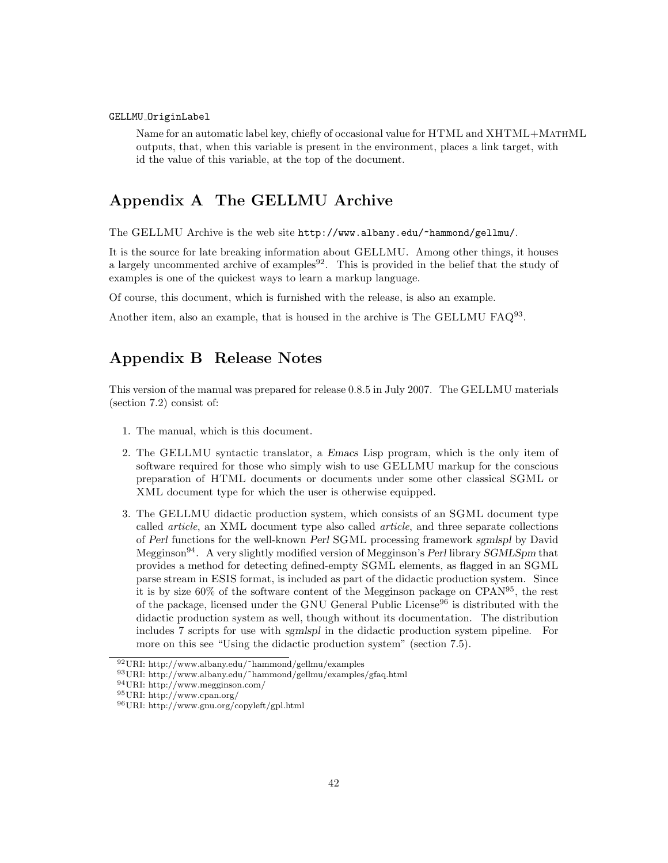### GELLMU OriginLabel

Name for an automatic label key, chiefly of occasional value for HTML and XHTML+MATHML outputs, that, when this variable is present in the environment, places a link target, with id the value of this variable, at the top of the document.

# Appendix A The GELLMU Archive

The GELLMU Archive is the web site http://www.albany.edu/~hammond/gellmu/.

It is the source for late breaking information about GELLMU. Among other things, it houses a largely uncommented archive of examples $92$ . This is provided in the belief that the study of examples is one of the quickest ways to learn a markup language.

Of course, this document, which is furnished with the release, is also an example.

Another item, also an example, that is housed in the archive is The GELLMU FAQ<sup>93</sup>.

# Appendix B Release Notes

This version of the manual was prepared for release 0.8.5 in July 2007. The GELLMU materials (section 7.2) consist of:

- 1. The manual, which is this document.
- 2. The GELLMU syntactic translator, a Emacs Lisp program, which is the only item of software required for those who simply wish to use GELLMU markup for the conscious preparation of HTML documents or documents under some other classical SGML or XML document type for which the user is otherwise equipped.
- 3. The GELLMU didactic production system, which consists of an SGML document type called article, an XML document type also called article, and three separate collections of Perl functions for the well-known Perl SGML processing framework sgmlspl by David Megginson94. A very slightly modified version of Megginson's Perl library SGMLSpm that provides a method for detecting defined-empty SGML elements, as flagged in an SGML parse stream in ESIS format, is included as part of the didactic production system. Since it is by size 60% of the software content of the Megginson package on CPAN<sup>95</sup>, the rest of the package, licensed under the GNU General Public License<sup>96</sup> is distributed with the didactic production system as well, though without its documentation. The distribution includes 7 scripts for use with sgmlspl in the didactic production system pipeline. For more on this see "Using the didactic production system" (section 7.5).

<sup>92</sup>URI: http://www.albany.edu/˜hammond/gellmu/examples

 $^{93}\rm{URI:}$ http://www.albany.edu/~hammond/gellmu/examples/gfaq.html

<sup>94</sup>URI: http://www.megginson.com/

<sup>95</sup>URI: http://www.cpan.org/

<sup>96</sup>URI: http://www.gnu.org/copyleft/gpl.html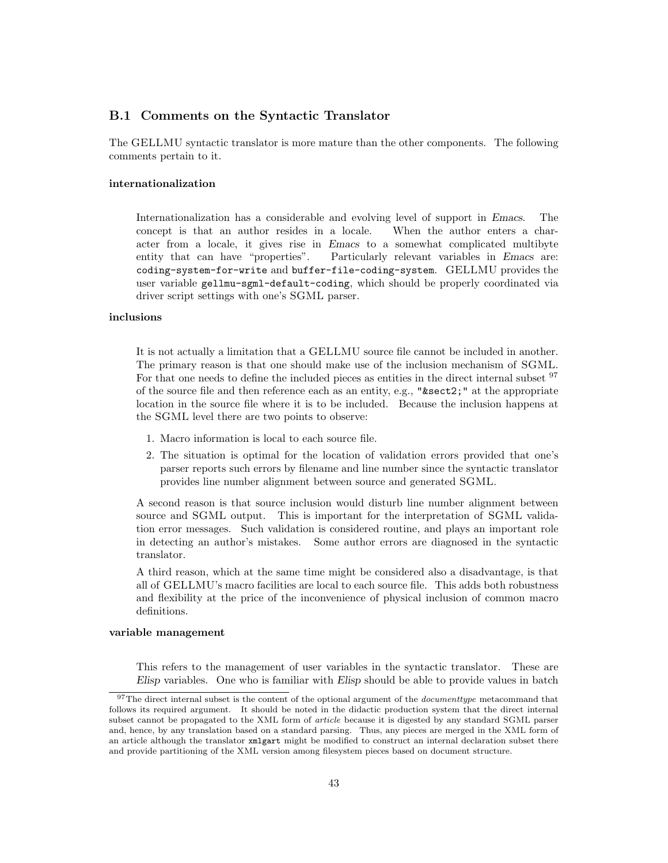## B.1 Comments on the Syntactic Translator

The GELLMU syntactic translator is more mature than the other components. The following comments pertain to it.

### internationalization

Internationalization has a considerable and evolving level of support in Emacs. The concept is that an author resides in a locale. When the author enters a character from a locale, it gives rise in Emacs to a somewhat complicated multibyte entity that can have "properties". Particularly relevant variables in Emacs are: coding-system-for-write and buffer-file-coding-system. GELLMU provides the user variable gellmu-sgml-default-coding, which should be properly coordinated via driver script settings with one's SGML parser.

# inclusions

It is not actually a limitation that a GELLMU source file cannot be included in another. The primary reason is that one should make use of the inclusion mechanism of SGML. For that one needs to define the included pieces as entities in the direct internal subset <sup>97</sup> of the source file and then reference each as an entity, e.g., " $\&$ sect2;" at the appropriate location in the source file where it is to be included. Because the inclusion happens at the SGML level there are two points to observe:

- 1. Macro information is local to each source file.
- 2. The situation is optimal for the location of validation errors provided that one's parser reports such errors by filename and line number since the syntactic translator provides line number alignment between source and generated SGML.

A second reason is that source inclusion would disturb line number alignment between source and SGML output. This is important for the interpretation of SGML validation error messages. Such validation is considered routine, and plays an important role in detecting an author's mistakes. Some author errors are diagnosed in the syntactic translator.

A third reason, which at the same time might be considered also a disadvantage, is that all of GELLMU's macro facilities are local to each source file. This adds both robustness and flexibility at the price of the inconvenience of physical inclusion of common macro definitions.

### variable management

This refers to the management of user variables in the syntactic translator. These are Elisp variables. One who is familiar with Elisp should be able to provide values in batch

 $97$ The direct internal subset is the content of the optional argument of the *documenttype* metacommand that follows its required argument. It should be noted in the didactic production system that the direct internal subset cannot be propagated to the XML form of article because it is digested by any standard SGML parser and, hence, by any translation based on a standard parsing. Thus, any pieces are merged in the XML form of an article although the translator xmlgart might be modified to construct an internal declaration subset there and provide partitioning of the XML version among filesystem pieces based on document structure.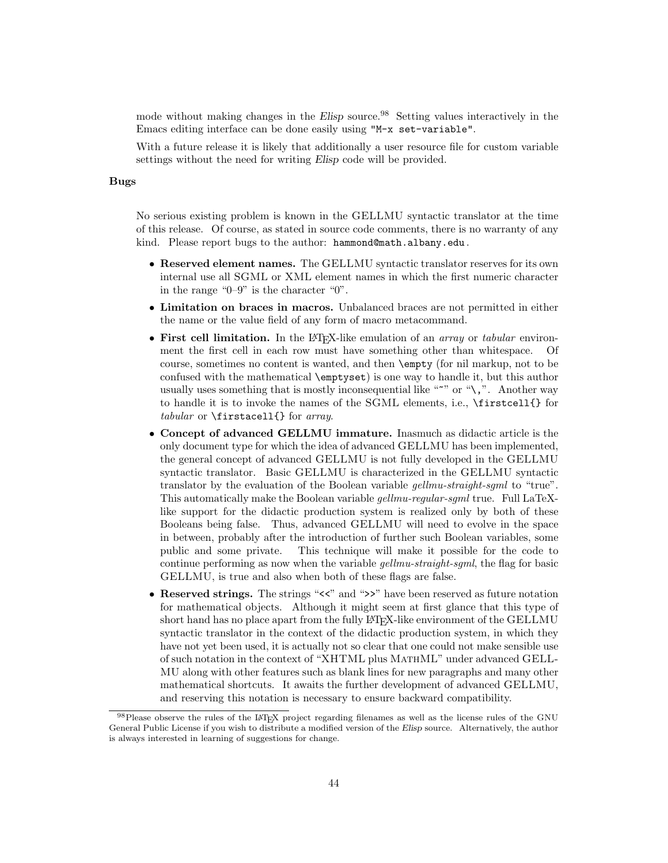mode without making changes in the Elisp source.<sup>98</sup> Setting values interactively in the Emacs editing interface can be done easily using "M-x set-variable".

With a future release it is likely that additionally a user resource file for custom variable settings without the need for writing Elisp code will be provided.

### Bugs

No serious existing problem is known in the GELLMU syntactic translator at the time of this release. Of course, as stated in source code comments, there is no warranty of any kind. Please report bugs to the author: hammond@math.albany.edu .

- Reserved element names. The GELLMU syntactic translator reserves for its own internal use all SGML or XML element names in which the first numeric character in the range "0–9" is the character "0".
- Limitation on braces in macros. Unbalanced braces are not permitted in either the name or the value field of any form of macro metacommand.
- First cell limitation. In the LAT<sub>EX</sub>-like emulation of an *array* or *tabular* environment the first cell in each row must have something other than whitespace. Of course, sometimes no content is wanted, and then \empty (for nil markup, not to be confused with the mathematical \emptyset) is one way to handle it, but this author usually uses something that is mostly inconsequential like " $\sim$ " or "\,". Another way to handle it is to invoke the names of the SGML elements, i.e., \firstcell{} for tabular or \firstacell{} for array.
- Concept of advanced GELLMU immature. Inasmuch as didactic article is the only document type for which the idea of advanced GELLMU has been implemented, the general concept of advanced GELLMU is not fully developed in the GELLMU syntactic translator. Basic GELLMU is characterized in the GELLMU syntactic translator by the evaluation of the Boolean variable *gellmu-straight-sgml* to "true". This automatically make the Boolean variable *gellmu-regular-sgml* true. Full LaTeXlike support for the didactic production system is realized only by both of these Booleans being false. Thus, advanced GELLMU will need to evolve in the space in between, probably after the introduction of further such Boolean variables, some public and some private. This technique will make it possible for the code to continue performing as now when the variable *gellmu-straight-sgml*, the flag for basic GELLMU, is true and also when both of these flags are false.
- Reserved strings. The strings "<<" and ">>" have been reserved as future notation for mathematical objects. Although it might seem at first glance that this type of short hand has no place apart from the fully L<sup>A</sup>T<sub>E</sub>X-like environment of the GELLMU syntactic translator in the context of the didactic production system, in which they have not yet been used, it is actually not so clear that one could not make sensible use of such notation in the context of "XHTML plus MathML" under advanced GELL-MU along with other features such as blank lines for new paragraphs and many other mathematical shortcuts. It awaits the further development of advanced GELLMU, and reserving this notation is necessary to ensure backward compatibility.

<sup>98</sup> Please observe the rules of the LATEX project regarding filenames as well as the license rules of the GNU General Public License if you wish to distribute a modified version of the Elisp source. Alternatively, the author is always interested in learning of suggestions for change.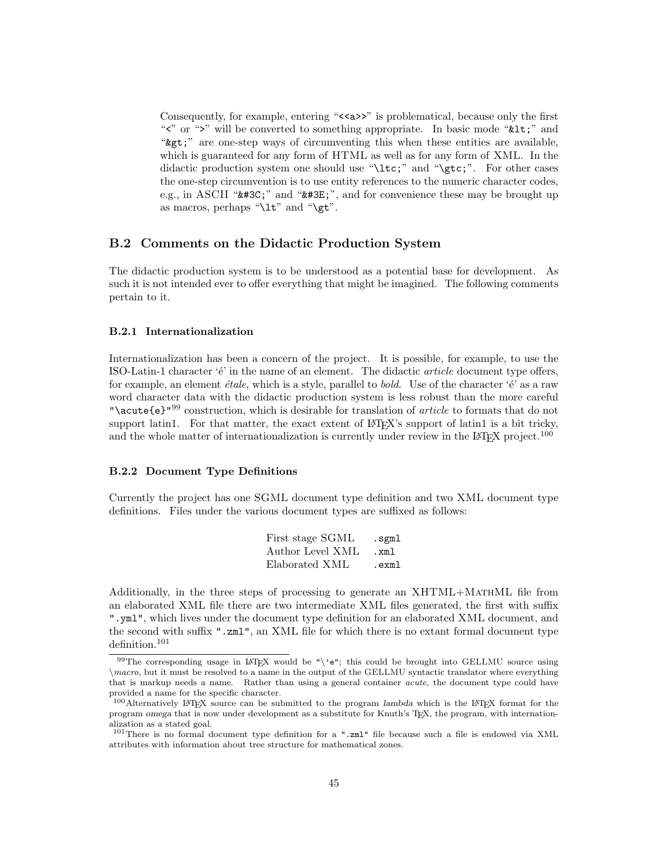Consequently, for example, entering " $\langle \langle \times \rangle$ " is problematical, because only the first "">" will be converted to something appropriate. In basic mode " $\&1$ ";" and " are one-step ways of circumventing this when these entities are available, which is guaranteed for any form of HTML as well as for any form of XML. In the didactic production system one should use "\ltc;" and "\gtc;". For other cases the one-step circumvention is to use entity references to the numeric character codes, e.g., in ASCII " $\&\#3C$ ;" and " $\&\#3E$ ;", and for convenience these may be brought up as macros, perhaps " $\lt t$ " and " $\gt t$ ".

### B.2 Comments on the Didactic Production System

The didactic production system is to be understood as a potential base for development. As such it is not intended ever to offer everything that might be imagined. The following comments pertain to it.

### B.2.1 Internationalization

Internationalization has been a concern of the project. It is possible, for example, to use the ISO-Latin-1 character 'é' in the name of an element. The didactic *article* document type offers, for example, an element  $\acute{e}tale$ , which is a style, parallel to *bold*. Use of the character ' $\acute{e}$ ' as a raw word character data with the didactic production system is less robust than the more careful "\acute{e}"<sup>99</sup> construction, which is desirable for translation of article to formats that do not support latin1. For that matter, the exact extent of LATEX's support of latin1 is a bit tricky, and the whole matter of internationalization is currently under review in the L<sup>A</sup>T<sub>E</sub>X project.<sup>100</sup>

### B.2.2 Document Type Definitions

Currently the project has one SGML document type definition and two XML document type definitions. Files under the various document types are suffixed as follows:

| First stage SGML | .sgml |
|------------------|-------|
| Author Level XML | .xml  |
| Elaborated XML   | .exml |

Additionally, in the three steps of processing to generate an XHTML+MATHML file from an elaborated XML file there are two intermediate XML files generated, the first with suffix ".yml", which lives under the document type definition for an elaborated XML document, and the second with suffix ".zml", an XML file for which there is no extant formal document type definition.<sup>101</sup>

<sup>99</sup>The corresponding usage in IAT<sub>E</sub>X would be "\'e"; this could be brought into GELLMU source using \macro, but it must be resolved to a name in the output of the GELLMU syntactic translator where everything that is markup needs a name. Rather than using a general container acute, the document type could have provided a name for the specific character.

<sup>100</sup>Alternatively LATEX source can be submitted to the program lambda which is the LATEX format for the program omega that is now under development as a substitute for Knuth's TEX, the program, with internationalization as a stated goal.

<sup>101</sup>There is no formal document type definition for a ".zml" file because such a file is endowed via XML attributes with information about tree structure for mathematical zones.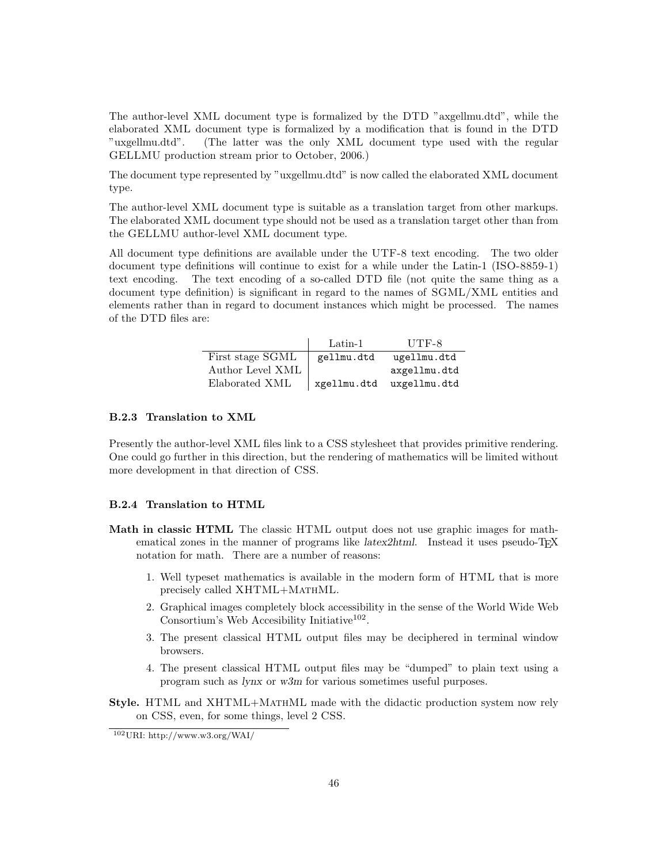The author-level XML document type is formalized by the DTD "axgellmu.dtd", while the elaborated XML document type is formalized by a modification that is found in the DTD "uxgellmu.dtd". (The latter was the only XML document type used with the regular GELLMU production stream prior to October, 2006.)

The document type represented by "uxgellmu.dtd" is now called the elaborated XML document type.

The author-level XML document type is suitable as a translation target from other markups. The elaborated XML document type should not be used as a translation target other than from the GELLMU author-level XML document type.

All document type definitions are available under the UTF-8 text encoding. The two older document type definitions will continue to exist for a while under the Latin-1 (ISO-8859-1) text encoding. The text encoding of a so-called DTD file (not quite the same thing as a document type definition) is significant in regard to the names of SGML/XML entities and elements rather than in regard to document instances which might be processed. The names of the DTD files are:

|                  | Latin-1     | UTF-8        |
|------------------|-------------|--------------|
| First stage SGML | gellmu.dtd  | ugellmu.dtd  |
| Author Level XML |             | axgellmu.dtd |
| Elaborated XML   | xgellmu.dtd | uxgellmu.dtd |

### B.2.3 Translation to XML

Presently the author-level XML files link to a CSS stylesheet that provides primitive rendering. One could go further in this direction, but the rendering of mathematics will be limited without more development in that direction of CSS.

### B.2.4 Translation to HTML

- Math in classic HTML The classic HTML output does not use graphic images for mathematical zones in the manner of programs like *latex2html*. Instead it uses pseudo-T<sub>F</sub>X notation for math. There are a number of reasons:
	- 1. Well typeset mathematics is available in the modern form of HTML that is more precisely called XHTML+MATHML.
	- 2. Graphical images completely block accessibility in the sense of the World Wide Web Consortium's Web Accesibility Initiative<sup>102</sup>.
	- 3. The present classical HTML output files may be deciphered in terminal window browsers.
	- 4. The present classical HTML output files may be "dumped" to plain text using a program such as lynx or w3m for various sometimes useful purposes.
- Style. HTML and XHTML+MathML made with the didactic production system now rely on CSS, even, for some things, level 2 CSS.

<sup>102</sup>URI: http://www.w3.org/WAI/